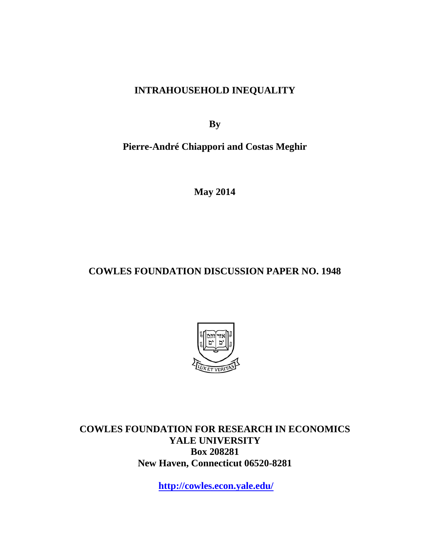# **INTRAHOUSEHOLD INEQUALITY**

**By**

**Pierre-André Chiappori and Costas Meghir**

**May 2014**

## **COWLES FOUNDATION DISCUSSION PAPER NO. 1948**



**COWLES FOUNDATION FOR RESEARCH IN ECONOMICS YALE UNIVERSITY Box 208281 New Haven, Connecticut 06520-8281**

**<http://cowles.econ.yale.edu/>**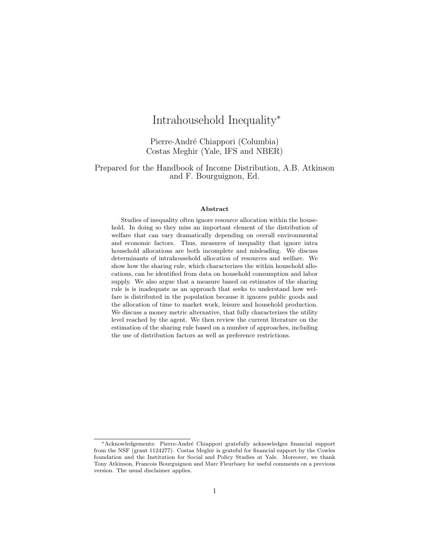## Intrahousehold Inequality<sup>∗</sup>

Pierre-André Chiappori (Columbia) Costas Meghir (Yale, IFS and NBER)

Prepared for the Handbook of Income Distribution, A.B. Atkinson and F. Bourguignon, Ed.

#### Abstract

Studies of inequality often ignore resource allocation within the household. In doing so they miss an important element of the distribution of welfare that can vary dramatically depending on overall environmental and economic factors. Thus, measures of inequality that ignore intra household allocations are both incomplete and misleading. We discuss determinants of intrahousehold allocation of resources and welfare. We show how the sharing rule, which characterizes the within household allocations, can be identified from data on household consumption and labor supply. We also argue that a measure based on estimates of the sharing rule is is inadequate as an approach that seeks to understand how welfare is distributed in the population because it ignores public goods and the allocation of time to market work, leisure and household production. We discuss a money metric alternative, that fully characterizes the utility level reached by the agent. We then review the current literature on the estimation of the sharing rule based on a number of approaches, including the use of distribution factors as well as preference restrictions.

<sup>∗</sup>Acknowledgements: Pierre-Andr´e Chiappori gratefully acknowledges financial support from the NSF (grant 1124277). Costas Meghir is grateful for financial support by the Cowles foundation and the Institution for Social and Policy Studies at Yale. Moreover, we thank Tony Atkinson, Francois Bourguignon and Marc Fleurbaey for useful comments on a previous version. The usual disclaimer applies.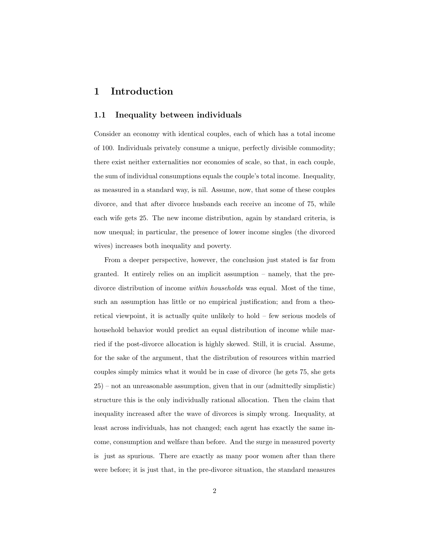### 1 Introduction

#### 1.1 Inequality between individuals

Consider an economy with identical couples, each of which has a total income of 100. Individuals privately consume a unique, perfectly divisible commodity; there exist neither externalities nor economies of scale, so that, in each couple, the sum of individual consumptions equals the couple's total income. Inequality, as measured in a standard way, is nil. Assume, now, that some of these couples divorce, and that after divorce husbands each receive an income of 75, while each wife gets 25. The new income distribution, again by standard criteria, is now unequal; in particular, the presence of lower income singles (the divorced wives) increases both inequality and poverty.

From a deeper perspective, however, the conclusion just stated is far from granted. It entirely relies on an implicit assumption – namely, that the predivorce distribution of income within households was equal. Most of the time, such an assumption has little or no empirical justification; and from a theoretical viewpoint, it is actually quite unlikely to hold – few serious models of household behavior would predict an equal distribution of income while married if the post-divorce allocation is highly skewed. Still, it is crucial. Assume, for the sake of the argument, that the distribution of resources within married couples simply mimics what it would be in case of divorce (he gets 75, she gets 25) – not an unreasonable assumption, given that in our (admittedly simplistic) structure this is the only individually rational allocation. Then the claim that inequality increased after the wave of divorces is simply wrong. Inequality, at least across individuals, has not changed; each agent has exactly the same income, consumption and welfare than before. And the surge in measured poverty is just as spurious. There are exactly as many poor women after than there were before; it is just that, in the pre-divorce situation, the standard measures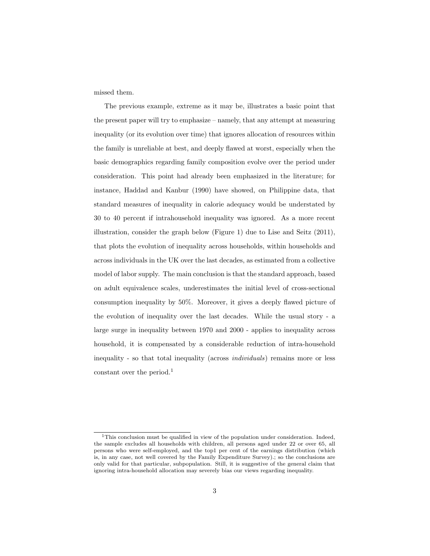missed them.

The previous example, extreme as it may be, illustrates a basic point that the present paper will try to emphasize – namely, that any attempt at measuring inequality (or its evolution over time) that ignores allocation of resources within the family is unreliable at best, and deeply flawed at worst, especially when the basic demographics regarding family composition evolve over the period under consideration. This point had already been emphasized in the literature; for instance, Haddad and Kanbur (1990) have showed, on Philippine data, that standard measures of inequality in calorie adequacy would be understated by 30 to 40 percent if intrahousehold inequality was ignored. As a more recent illustration, consider the graph below (Figure 1) due to Lise and Seitz (2011), that plots the evolution of inequality across households, within households and across individuals in the UK over the last decades, as estimated from a collective model of labor supply. The main conclusion is that the standard approach, based on adult equivalence scales, underestimates the initial level of cross-sectional consumption inequality by 50%. Moreover, it gives a deeply flawed picture of the evolution of inequality over the last decades. While the usual story - a large surge in inequality between 1970 and 2000 - applies to inequality across household, it is compensated by a considerable reduction of intra-household inequality - so that total inequality (across individuals) remains more or less constant over the period.<sup>1</sup>

<sup>&</sup>lt;sup>1</sup>This conclusion must be qualified in view of the population under consideration. Indeed, the sample excludes all households with children, all persons aged under 22 or over 65, all persons who were self-employed, and the top1 per cent of the earnings distribution (which is, in any case, not well covered by the Family Expenditure Survey).; so the conclusions are only valid for that particular, subpopulation. Still, it is suggestive of the general claim that ignoring intra-household allocation may severely bias our views regarding inequality.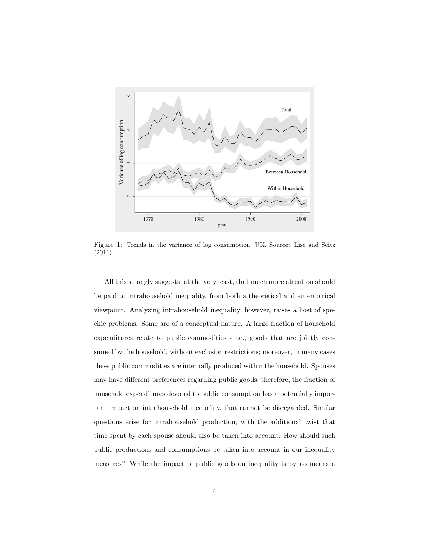

Figure 1: Trends in the variance of log consumption, UK. Source: Lise and Seitz (2011).

All this strongly suggests, at the very least, that much more attention should be paid to intrahousehold inequality, from both a theoretical and an empirical viewpoint. Analyzing intrahousehold inequality, however, raises a host of specific problems. Some are of a conceptual nature. A large fraction of household expenditures relate to public commodities - i.e., goods that are jointly consumed by the household, without exclusion restrictions; moreover, in many cases these public commodities are internally produced within the household. Spouses may have different preferences regarding public goods; therefore, the fraction of household expenditures devoted to public consumption has a potentially important impact on intrahousehold inequality, that cannot be disregarded. Similar questions arise for intrahousehold production, with the additional twist that time spent by each spouse should also be taken into account. How should such public productions and consumptions be taken into account in our inequality measures? While the impact of public goods on inequality is by no means a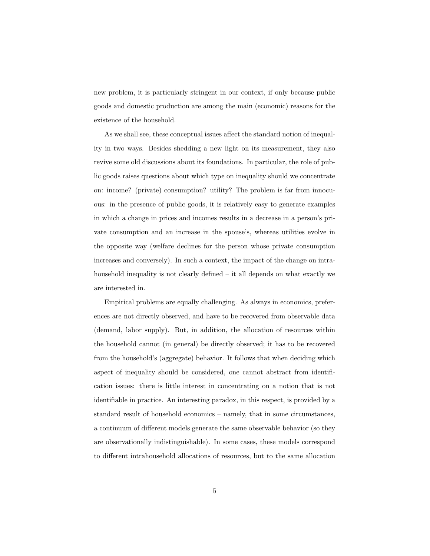new problem, it is particularly stringent in our context, if only because public goods and domestic production are among the main (economic) reasons for the existence of the household.

As we shall see, these conceptual issues affect the standard notion of inequality in two ways. Besides shedding a new light on its measurement, they also revive some old discussions about its foundations. In particular, the role of public goods raises questions about which type on inequality should we concentrate on: income? (private) consumption? utility? The problem is far from innocuous: in the presence of public goods, it is relatively easy to generate examples in which a change in prices and incomes results in a decrease in a person's private consumption and an increase in the spouse's, whereas utilities evolve in the opposite way (welfare declines for the person whose private consumption increases and conversely). In such a context, the impact of the change on intrahousehold inequality is not clearly defined – it all depends on what exactly we are interested in.

Empirical problems are equally challenging. As always in economics, preferences are not directly observed, and have to be recovered from observable data (demand, labor supply). But, in addition, the allocation of resources within the household cannot (in general) be directly observed; it has to be recovered from the household's (aggregate) behavior. It follows that when deciding which aspect of inequality should be considered, one cannot abstract from identification issues: there is little interest in concentrating on a notion that is not identifiable in practice. An interesting paradox, in this respect, is provided by a standard result of household economics – namely, that in some circumstances, a continuum of different models generate the same observable behavior (so they are observationally indistinguishable). In some cases, these models correspond to different intrahousehold allocations of resources, but to the same allocation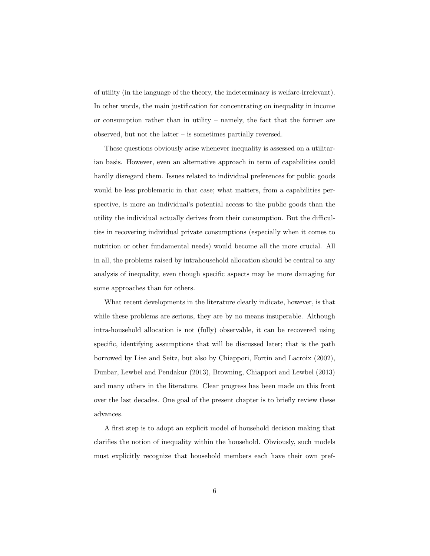of utility (in the language of the theory, the indeterminacy is welfare-irrelevant). In other words, the main justification for concentrating on inequality in income or consumption rather than in utility – namely, the fact that the former are observed, but not the latter – is sometimes partially reversed.

These questions obviously arise whenever inequality is assessed on a utilitarian basis. However, even an alternative approach in term of capabilities could hardly disregard them. Issues related to individual preferences for public goods would be less problematic in that case; what matters, from a capabilities perspective, is more an individual's potential access to the public goods than the utility the individual actually derives from their consumption. But the difficulties in recovering individual private consumptions (especially when it comes to nutrition or other fundamental needs) would become all the more crucial. All in all, the problems raised by intrahousehold allocation should be central to any analysis of inequality, even though specific aspects may be more damaging for some approaches than for others.

What recent developments in the literature clearly indicate, however, is that while these problems are serious, they are by no means insuperable. Although intra-household allocation is not (fully) observable, it can be recovered using specific, identifying assumptions that will be discussed later; that is the path borrowed by Lise and Seitz, but also by Chiappori, Fortin and Lacroix (2002), Dunbar, Lewbel and Pendakur (2013), Browning, Chiappori and Lewbel (2013) and many others in the literature. Clear progress has been made on this front over the last decades. One goal of the present chapter is to briefly review these advances.

A first step is to adopt an explicit model of household decision making that clarifies the notion of inequality within the household. Obviously, such models must explicitly recognize that household members each have their own pref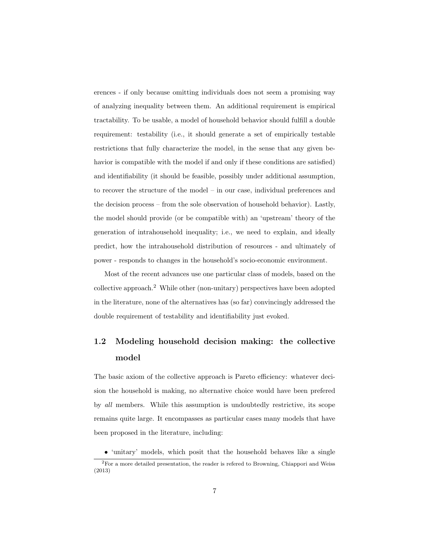erences - if only because omitting individuals does not seem a promising way of analyzing inequality between them. An additional requirement is empirical tractability. To be usable, a model of household behavior should fulfill a double requirement: testability (i.e., it should generate a set of empirically testable restrictions that fully characterize the model, in the sense that any given behavior is compatible with the model if and only if these conditions are satisfied) and identifiability (it should be feasible, possibly under additional assumption, to recover the structure of the model – in our case, individual preferences and the decision process – from the sole observation of household behavior). Lastly, the model should provide (or be compatible with) an 'upstream' theory of the generation of intrahousehold inequality; i.e., we need to explain, and ideally predict, how the intrahousehold distribution of resources - and ultimately of power - responds to changes in the household's socio-economic environment.

Most of the recent advances use one particular class of models, based on the collective approach.<sup>2</sup> While other (non-unitary) perspectives have been adopted in the literature, none of the alternatives has (so far) convincingly addressed the double requirement of testability and identifiability just evoked.

# 1.2 Modeling household decision making: the collective model

The basic axiom of the collective approach is Pareto efficiency: whatever decision the household is making, no alternative choice would have been prefered by all members. While this assumption is undoubtedly restrictive, its scope remains quite large. It encompasses as particular cases many models that have been proposed in the literature, including:

<sup>•</sup> 'unitary' models, which posit that the household behaves like a single <sup>2</sup>For a more detailed presentation, the reader is refered to Browning, Chiappori and Weiss (2013)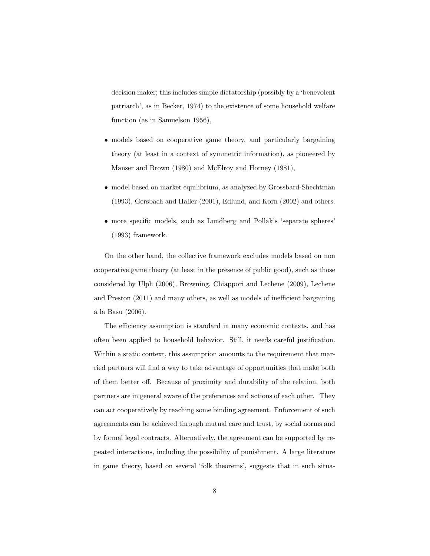decision maker; this includes simple dictatorship (possibly by a 'benevolent patriarch', as in Becker, 1974) to the existence of some household welfare function (as in Samuelson 1956),

- models based on cooperative game theory, and particularly bargaining theory (at least in a context of symmetric information), as pioneered by Manser and Brown (1980) and McElroy and Horney (1981),
- model based on market equilibrium, as analyzed by Grossbard-Shechtman (1993), Gersbach and Haller (2001), Edlund, and Korn (2002) and others.
- more specific models, such as Lundberg and Pollak's 'separate spheres' (1993) framework.

On the other hand, the collective framework excludes models based on non cooperative game theory (at least in the presence of public good), such as those considered by Ulph (2006), Browning, Chiappori and Lechene (2009), Lechene and Preston (2011) and many others, as well as models of inefficient bargaining a la Basu (2006).

The efficiency assumption is standard in many economic contexts, and has often been applied to household behavior. Still, it needs careful justification. Within a static context, this assumption amounts to the requirement that married partners will find a way to take advantage of opportunities that make both of them better off. Because of proximity and durability of the relation, both partners are in general aware of the preferences and actions of each other. They can act cooperatively by reaching some binding agreement. Enforcement of such agreements can be achieved through mutual care and trust, by social norms and by formal legal contracts. Alternatively, the agreement can be supported by repeated interactions, including the possibility of punishment. A large literature in game theory, based on several 'folk theorems', suggests that in such situa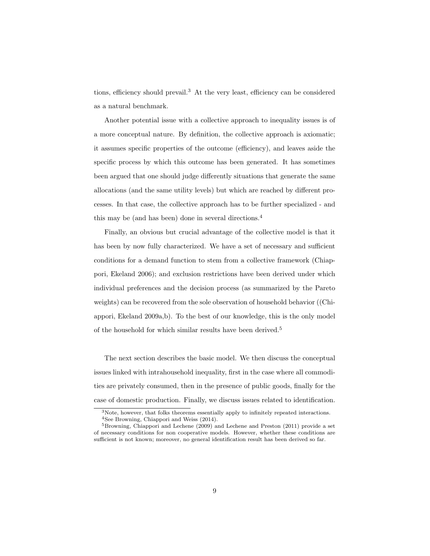tions, efficiency should prevail.<sup>3</sup> At the very least, efficiency can be considered as a natural benchmark.

Another potential issue with a collective approach to inequality issues is of a more conceptual nature. By definition, the collective approach is axiomatic; it assumes specific properties of the outcome (efficiency), and leaves aside the specific process by which this outcome has been generated. It has sometimes been argued that one should judge differently situations that generate the same allocations (and the same utility levels) but which are reached by different processes. In that case, the collective approach has to be further specialized - and this may be (and has been) done in several directions.<sup>4</sup>

Finally, an obvious but crucial advantage of the collective model is that it has been by now fully characterized. We have a set of necessary and sufficient conditions for a demand function to stem from a collective framework (Chiappori, Ekeland 2006); and exclusion restrictions have been derived under which individual preferences and the decision process (as summarized by the Pareto weights) can be recovered from the sole observation of household behavior ((Chiappori, Ekeland 2009a,b). To the best of our knowledge, this is the only model of the household for which similar results have been derived.<sup>5</sup>

The next section describes the basic model. We then discuss the conceptual issues linked with intrahousehold inequality, first in the case where all commodities are privately consumed, then in the presence of public goods, finally for the case of domestic production. Finally, we discuss issues related to identification.

<sup>3</sup>Note, however, that folks theorems essentially apply to infinitely repeated interactions. <sup>4</sup>See Browning, Chiappori and Weiss (2014).

<sup>5</sup>Browning, Chiappori and Lechene (2009) and Lechene and Preston (2011) provide a set of necessary conditions for non cooperative models. However, whether these conditions are sufficient is not known; moreover, no general identification result has been derived so far.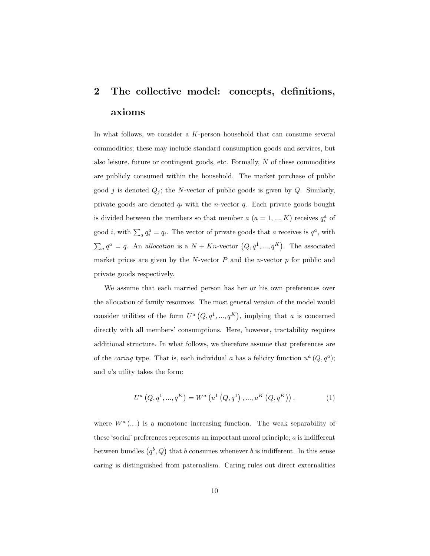# 2 The collective model: concepts, definitions, axioms

In what follows, we consider a K-person household that can consume several commodities; these may include standard consumption goods and services, but also leisure, future or contingent goods, etc. Formally, N of these commodities are publicly consumed within the household. The market purchase of public good j is denoted  $Q_j$ ; the N-vector of public goods is given by Q. Similarly, private goods are denoted  $q_i$  with the *n*-vector  $q$ . Each private goods bought is divided between the members so that member  $a$   $(a = 1, ..., K)$  receives  $q_i^a$  of good *i*, with  $\sum_a q_i^a = q_i$ . The vector of private goods that *a* receives is  $q^a$ , with  $\sum_a q^a = q$ . An allocation is a  $N + Kn$ -vector  $(Q, q^1, ..., q^K)$ . The associated market prices are given by the  $N$ -vector  $P$  and the *n*-vector  $p$  for public and private goods respectively.

We assume that each married person has her or his own preferences over the allocation of family resources. The most general version of the model would consider utilities of the form  $U^a(Q, q^1, ..., q^K)$ , implying that a is concerned directly with all members' consumptions. Here, however, tractability requires additional structure. In what follows, we therefore assume that preferences are of the *caring* type. That is, each individual a has a felicity function  $u^a(Q, q^a)$ ; and a's utlity takes the form:

$$
U^{a}\left(Q, q^{1},..., q^{K}\right) = W^{a}\left(u^{1}\left(Q, q^{1}\right), ..., u^{K}\left(Q, q^{K}\right)\right),\tag{1}
$$

where  $W^a$   $(.,.)$  is a monotone increasing function. The weak separability of these 'social' preferences represents an important moral principle; a is indifferent between bundles  $(q^b, Q)$  that b consumes whenever b is indifferent. In this sense caring is distinguished from paternalism. Caring rules out direct externalities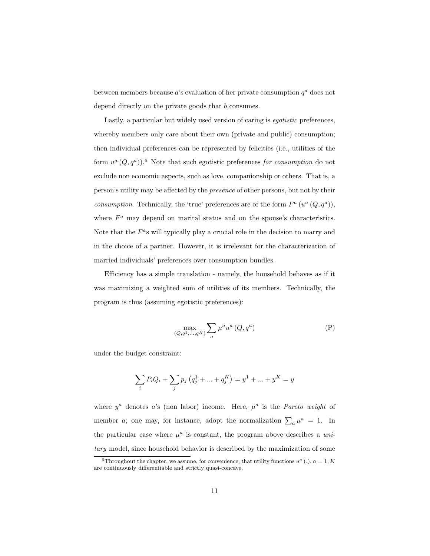between members because  $a$ 's evaluation of her private consumption  $q^a$  does not depend directly on the private goods that b consumes.

Lastly, a particular but widely used version of caring is egotistic preferences, whereby members only care about their own (private and public) consumption; then individual preferences can be represented by felicities (i.e., utilities of the form  $u^a(Q, q^a)$ .<sup>6</sup> Note that such egotistic preferences for consumption do not exclude non economic aspects, such as love, companionship or others. That is, a person's utility may be affected by the presence of other persons, but not by their consumption. Technically, the 'true' preferences are of the form  $F^a(u^a(Q, q^a))$ , where  $F^a$  may depend on marital status and on the spouse's characteristics. Note that the  $F^a$ s will typically play a crucial role in the decision to marry and in the choice of a partner. However, it is irrelevant for the characterization of married individuals' preferences over consumption bundles.

Efficiency has a simple translation - namely, the household behaves as if it was maximizing a weighted sum of utilities of its members. Technically, the program is thus (assuming egotistic preferences):

$$
\max_{(Q,q^1,\ldots,q^K)} \sum_a \mu^a u^a (Q,q^a) \tag{P}
$$

under the budget constraint:

$$
\sum_{i} P_{i}Q_{i} + \sum_{j} p_{j} (q_{j}^{1} + ... + q_{j}^{K}) = y^{1} + ... + y^{K} = y
$$

where  $y^a$  denotes a's (non labor) income. Here,  $\mu^a$  is the *Pareto weight* of member *a*; one may, for instance, adopt the normalization  $\sum_a \mu^a = 1$ . In the particular case where  $\mu^a$  is constant, the program above describes a unitary model, since household behavior is described by the maximization of some

<sup>&</sup>lt;sup>6</sup>Throughout the chapter, we assume, for convenience, that utility functions  $u^a(.)$ ,  $a = 1, K$ are continuously differentiable and strictly quasi-concave.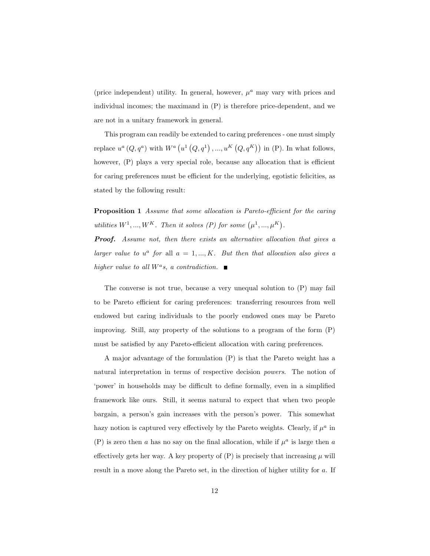(price independent) utility. In general, however,  $\mu^a$  may vary with prices and individual incomes; the maximand in (P) is therefore price-dependent, and we are not in a unitary framework in general.

This program can readily be extended to caring preferences - one must simply replace  $u^a(Q, q^a)$  with  $W^a(u^1(Q, q^1), ..., u^K(Q, q^K))$  in (P). In what follows, however,  $(P)$  plays a very special role, because any allocation that is efficient for caring preferences must be efficient for the underlying, egotistic felicities, as stated by the following result:

Proposition 1 Assume that some allocation is Pareto-efficient for the caring utilities  $W^1, ..., W^K$ . Then it solves (P) for some  $(\mu^1, ..., \mu^K)$ .

**Proof.** Assume not, then there exists an alternative allocation that gives a larger value to  $u^a$  for all  $a = 1, ..., K$ . But then that allocation also gives a higher value to all  $W^a s$ , a contradiction.

The converse is not true, because a very unequal solution to (P) may fail to be Pareto efficient for caring preferences: transferring resources from well endowed but caring individuals to the poorly endowed ones may be Pareto improving. Still, any property of the solutions to a program of the form (P) must be satisfied by any Pareto-efficient allocation with caring preferences.

A major advantage of the formulation (P) is that the Pareto weight has a natural interpretation in terms of respective decision powers. The notion of 'power' in households may be difficult to define formally, even in a simplified framework like ours. Still, it seems natural to expect that when two people bargain, a person's gain increases with the person's power. This somewhat hazy notion is captured very effectively by the Pareto weights. Clearly, if  $\mu^a$  in (P) is zero then a has no say on the final allocation, while if  $\mu^a$  is large then a effectively gets her way. A key property of  $(P)$  is precisely that increasing  $\mu$  will result in a move along the Pareto set, in the direction of higher utility for a. If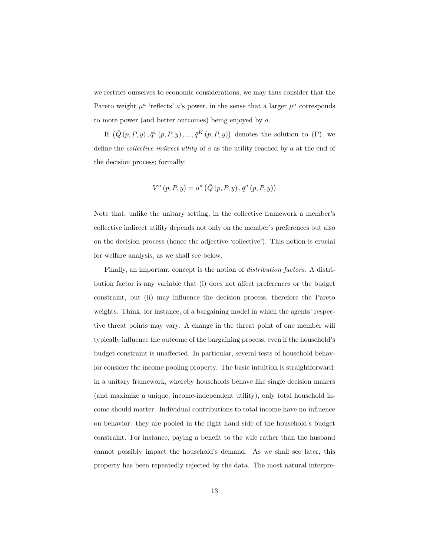we restrict ourselves to economic considerations, we may thus consider that the Pareto weight  $\mu^a$  'reflects' a's power, in the sense that a larger  $\mu^a$  corresponds to more power (and better outcomes) being enjoyed by a.

If  $(\bar{Q}(p, P, y), \bar{q}^1(p, P, y), ..., \bar{q}^K(p, P, y))$  denotes the solution to (P), we define the collective indirect utlity of a as the utility reached by a at the end of the decision process; formally:

$$
V^{a}(p, P, y) = u^{a}(\bar{Q}(p, P, y), \bar{q}^{a}(p, P, y))
$$

Note that, unlike the unitary setting, in the collective framework a member's collective indirect utility depends not only on the member's preferences but also on the decision process (hence the adjective 'collective'). This notion is crucial for welfare analysis, as we shall see below.

Finally, an important concept is the notion of distribution factors. A distribution factor is any variable that (i) does not affect preferences or the budget constraint, but (ii) may influence the decision process, therefore the Pareto weights. Think, for instance, of a bargaining model in which the agents' respective threat points may vary. A change in the threat point of one member will typically influence the outcome of the bargaining process, even if the household's budget constraint is unaffected. In particular, several tests of household behavior consider the income pooling property. The basic intuition is straightforward: in a unitary framework, whereby households behave like single decision makers (and maximize a unique, income-independent utility), only total household income should matter. Individual contributions to total income have no influence on behavior: they are pooled in the right hand side of the household's budget constraint. For instance, paying a benefit to the wife rather than the husband cannot possibly impact the household's demand. As we shall see later, this property has been repeatedly rejected by the data. The most natural interpre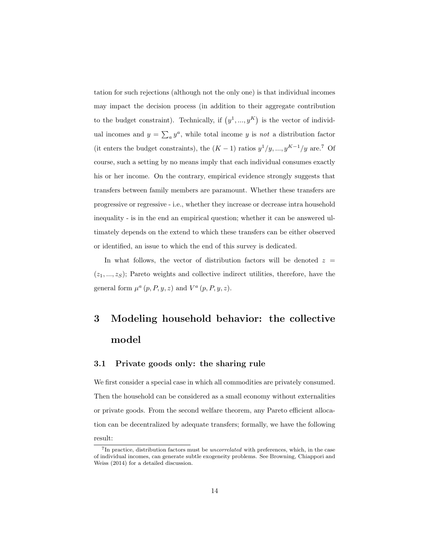tation for such rejections (although not the only one) is that individual incomes may impact the decision process (in addition to their aggregate contribution to the budget constraint). Technically, if  $(y^1, ..., y^K)$  is the vector of individual incomes and  $y = \sum_a y^a$ , while total income y is not a distribution factor (it enters the budget constraints), the  $(K-1)$  ratios  $y^1/y, ..., y^{K-1}/y$  are.<sup>7</sup> Of course, such a setting by no means imply that each individual consumes exactly his or her income. On the contrary, empirical evidence strongly suggests that transfers between family members are paramount. Whether these transfers are progressive or regressive - i.e., whether they increase or decrease intra household inequality - is in the end an empirical question; whether it can be answered ultimately depends on the extend to which these transfers can be either observed or identified, an issue to which the end of this survey is dedicated.

In what follows, the vector of distribution factors will be denoted  $z =$  $(z_1, ..., z_S)$ ; Pareto weights and collective indirect utilities, therefore, have the general form  $\mu^a(p, P, y, z)$  and  $V^a(p, P, y, z)$ .

# 3 Modeling household behavior: the collective model

#### 3.1 Private goods only: the sharing rule

We first consider a special case in which all commodities are privately consumed. Then the household can be considered as a small economy without externalities or private goods. From the second welfare theorem, any Pareto efficient allocation can be decentralized by adequate transfers; formally, we have the following result:

<sup>&</sup>lt;sup>7</sup>In practice, distribution factors must be *uncorrelated* with preferences, which, in the case of individual incomes, can generate subtle exogeneity problems. See Browning, Chiappori and Weiss (2014) for a detailed discussion.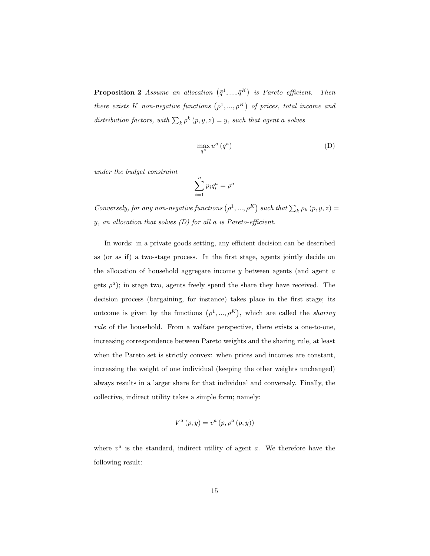**Proposition 2** Assume an allocation  $(\bar{q}^1, ..., \bar{q}^K)$  is Pareto efficient. Then there exists K non-negative functions  $(\rho^1, ..., \rho^K)$  of prices, total income and distribution factors, with  $\sum_{k} \rho^{k}(p, y, z) = y$ , such that agent a solves

$$
\max_{q^a} u^a(q^a) \tag{D}
$$

under the budget constraint

$$
\sum_{i=1}^{n} p_i q_i^a = \rho^a
$$

Conversely, for any non-negative functions  $(\rho^1, ..., \rho^K)$  such that  $\sum_k \rho_k (p, y, z) =$  $y$ , an allocation that solves  $(D)$  for all a is Pareto-efficient.

In words: in a private goods setting, any efficient decision can be described as (or as if) a two-stage process. In the first stage, agents jointly decide on the allocation of household aggregate income  $y$  between agents (and agent  $a$ gets  $\rho^a$ ); in stage two, agents freely spend the share they have received. The decision process (bargaining, for instance) takes place in the first stage; its outcome is given by the functions  $(\rho^1, ..., \rho^K)$ , which are called the *sharing* rule of the household. From a welfare perspective, there exists a one-to-one, increasing correspondence between Pareto weights and the sharing rule, at least when the Pareto set is strictly convex: when prices and incomes are constant, increasing the weight of one individual (keeping the other weights unchanged) always results in a larger share for that individual and conversely. Finally, the collective, indirect utility takes a simple form; namely:

$$
V^{a}(p, y) = v^{a}(p, \rho^{a}(p, y))
$$

where  $v^a$  is the standard, indirect utility of agent  $a$ . We therefore have the following result: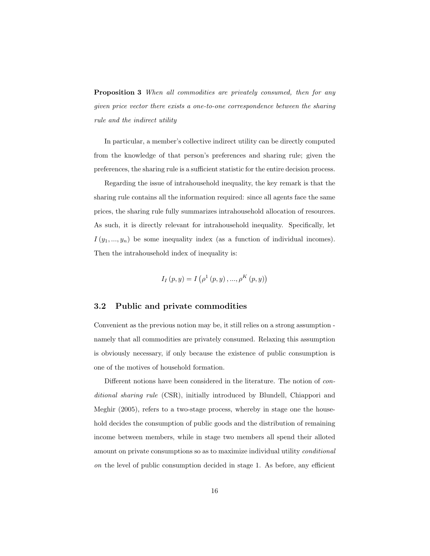Proposition 3 When all commodities are privately consumed, then for any given price vector there exists a one-to-one correspondence between the sharing rule and the indirect utility

In particular, a member's collective indirect utility can be directly computed from the knowledge of that person's preferences and sharing rule; given the preferences, the sharing rule is a sufficient statistic for the entire decision process.

Regarding the issue of intrahousehold inequality, the key remark is that the sharing rule contains all the information required: since all agents face the same prices, the sharing rule fully summarizes intrahousehold allocation of resources. As such, it is directly relevant for intrahousehold inequality. Specifically, let  $I(y_1, \ldots, y_n)$  be some inequality index (as a function of individual incomes). Then the intrahousehold index of inequality is:

$$
I_{I}(p, y) = I(\rho^{1}(p, y), ..., \rho^{K}(p, y))
$$

#### 3.2 Public and private commodities

Convenient as the previous notion may be, it still relies on a strong assumption namely that all commodities are privately consumed. Relaxing this assumption is obviously necessary, if only because the existence of public consumption is one of the motives of household formation.

Different notions have been considered in the literature. The notion of conditional sharing rule (CSR), initially introduced by Blundell, Chiappori and Meghir (2005), refers to a two-stage process, whereby in stage one the household decides the consumption of public goods and the distribution of remaining income between members, while in stage two members all spend their alloted amount on private consumptions so as to maximize individual utility conditional on the level of public consumption decided in stage 1. As before, any efficient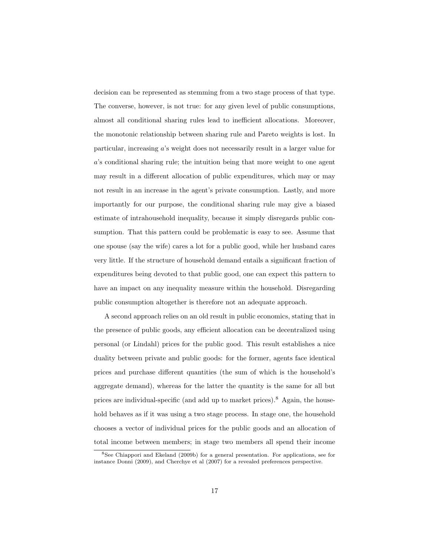decision can be represented as stemming from a two stage process of that type. The converse, however, is not true: for any given level of public consumptions, almost all conditional sharing rules lead to inefficient allocations. Moreover, the monotonic relationship between sharing rule and Pareto weights is lost. In particular, increasing a's weight does not necessarily result in a larger value for a's conditional sharing rule; the intuition being that more weight to one agent may result in a different allocation of public expenditures, which may or may not result in an increase in the agent's private consumption. Lastly, and more importantly for our purpose, the conditional sharing rule may give a biased estimate of intrahousehold inequality, because it simply disregards public consumption. That this pattern could be problematic is easy to see. Assume that one spouse (say the wife) cares a lot for a public good, while her husband cares very little. If the structure of household demand entails a significant fraction of expenditures being devoted to that public good, one can expect this pattern to have an impact on any inequality measure within the household. Disregarding public consumption altogether is therefore not an adequate approach.

A second approach relies on an old result in public economics, stating that in the presence of public goods, any efficient allocation can be decentralized using personal (or Lindahl) prices for the public good. This result establishes a nice duality between private and public goods: for the former, agents face identical prices and purchase different quantities (the sum of which is the household's aggregate demand), whereas for the latter the quantity is the same for all but prices are individual-specific (and add up to market prices).<sup>8</sup> Again, the household behaves as if it was using a two stage process. In stage one, the household chooses a vector of individual prices for the public goods and an allocation of total income between members; in stage two members all spend their income

<sup>8</sup>See Chiappori and Ekeland (2009b) for a general presentation. For applications, see for instance Donni (2009), and Cherchye et al (2007) for a revealed preferences perspective.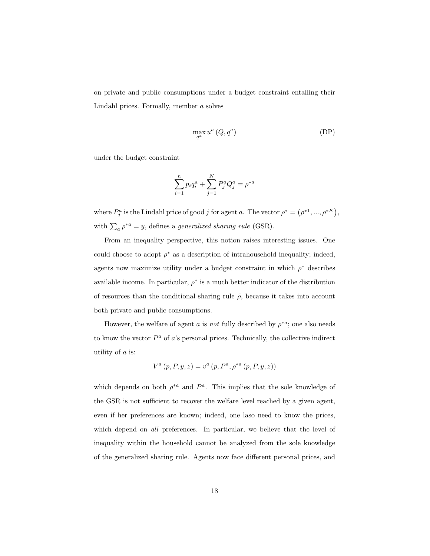on private and public consumptions under a budget constraint entailing their Lindahl prices. Formally, member a solves

$$
\max_{q^a} u^a(Q, q^a) \tag{DP}
$$

under the budget constraint

$$
\sum_{i=1}^{n} p_i q_i^a + \sum_{j=1}^{N} P_j^a Q_j^a = \rho^{*a}
$$

where  $P_j^a$  is the Lindahl price of good j for agent a. The vector  $\rho^* = (\rho^{*1}, ..., \rho^{*K}),$ with  $\sum_a \rho^{*a} = y$ , defines a *generalized sharing rule* (GSR).

From an inequality perspective, this notion raises interesting issues. One could choose to adopt  $\rho^*$  as a description of intrahousehold inequality; indeed, agents now maximize utility under a budget constraint in which  $\rho^*$  describes available income. In particular,  $\rho^*$  is a much better indicator of the distribution of resources than the conditional sharing rule  $\tilde{\rho}$ , because it takes into account both private and public consumptions.

However, the welfare of agent a is not fully described by  $\rho^{*a}$ ; one also needs to know the vector  $P^a$  of a's personal prices. Technically, the collective indirect utility of a is:

$$
V^{a}(p, P, y, z) = v^{a}(p, P^{a}, \rho^{*a}(p, P, y, z))
$$

which depends on both  $\rho^{*a}$  and  $P^a$ . This implies that the sole knowledge of the GSR is not sufficient to recover the welfare level reached by a given agent, even if her preferences are known; indeed, one laso need to know the prices, which depend on *all* preferences. In particular, we believe that the level of inequality within the household cannot be analyzed from the sole knowledge of the generalized sharing rule. Agents now face different personal prices, and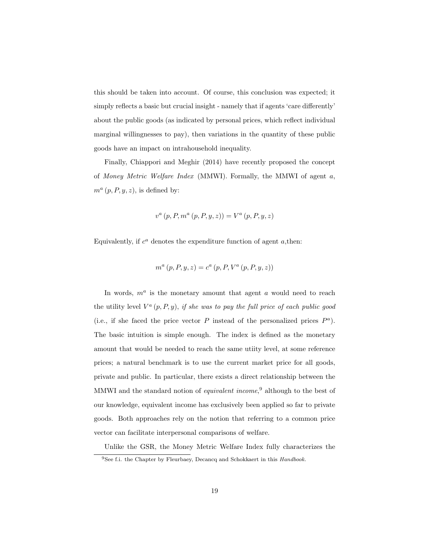this should be taken into account. Of course, this conclusion was expected; it simply reflects a basic but crucial insight - namely that if agents 'care differently' about the public goods (as indicated by personal prices, which reflect individual marginal willingnesses to pay), then variations in the quantity of these public goods have an impact on intrahousehold inequality.

Finally, Chiappori and Meghir (2014) have recently proposed the concept of Money Metric Welfare Index (MMWI). Formally, the MMWI of agent a,  $m^a(p, P, y, z)$ , is defined by:

$$
v^{a}(p, P, m^{a}(p, P, y, z)) = V^{a}(p, P, y, z)
$$

Equivalently, if  $c^a$  denotes the expenditure function of agent  $a$ , then:

$$
m^{a}(p, P, y, z) = c^{a}(p, P, V^{a}(p, P, y, z))
$$

In words,  $m^a$  is the monetary amount that agent a would need to reach the utility level  $V^a(p, P, y)$ , if she was to pay the full price of each public good (i.e., if she faced the price vector  $P$  instead of the personalized prices  $P^a$ ). The basic intuition is simple enough. The index is defined as the monetary amount that would be needed to reach the same utiity level, at some reference prices; a natural benchmark is to use the current market price for all goods, private and public. In particular, there exists a direct relationship between the MMWI and the standard notion of *equivalent income*,<sup>9</sup> although to the best of our knowledge, equivalent income has exclusively been applied so far to private goods. Both approaches rely on the notion that referring to a common price vector can facilitate interpersonal comparisons of welfare.

Unlike the GSR, the Money Metric Welfare Index fully characterizes the  $9$ See f.i. the Chapter by Fleurbaey, Decancq and Schokkaert in this Handbook.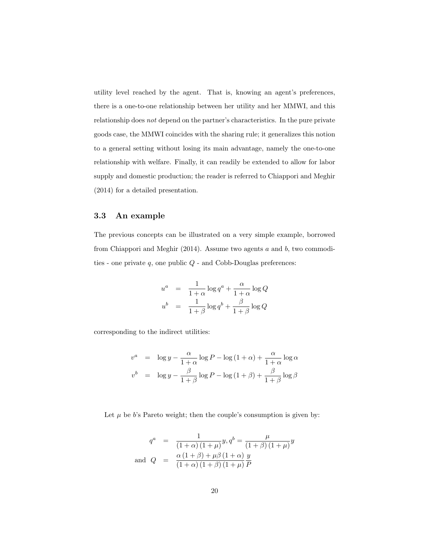utility level reached by the agent. That is, knowing an agent's preferences, there is a one-to-one relationship between her utility and her MMWI, and this relationship does not depend on the partner's characteristics. In the pure private goods case, the MMWI coincides with the sharing rule; it generalizes this notion to a general setting without losing its main advantage, namely the one-to-one relationship with welfare. Finally, it can readily be extended to allow for labor supply and domestic production; the reader is referred to Chiappori and Meghir (2014) for a detailed presentation.

#### 3.3 An example

The previous concepts can be illustrated on a very simple example, borrowed from Chiappori and Meghir (2014). Assume two agents  $a$  and  $b$ , two commodities - one private  $q$ , one public  $Q$  - and Cobb-Douglas preferences:

$$
u^{a} = \frac{1}{1+\alpha} \log q^{a} + \frac{\alpha}{1+\alpha} \log Q
$$
  

$$
u^{b} = \frac{1}{1+\beta} \log q^{b} + \frac{\beta}{1+\beta} \log Q
$$

corresponding to the indirect utilities:

$$
v^{a} = \log y - \frac{\alpha}{1+\alpha} \log P - \log(1+\alpha) + \frac{\alpha}{1+\alpha} \log \alpha
$$
  

$$
v^{b} = \log y - \frac{\beta}{1+\beta} \log P - \log(1+\beta) + \frac{\beta}{1+\beta} \log \beta
$$

Let  $\mu$  be b's Pareto weight; then the couple's consumption is given by:

$$
q^{a} = \frac{1}{(1+\alpha)(1+\mu)} y, q^{b} = \frac{\mu}{(1+\beta)(1+\mu)} y
$$
  
and 
$$
Q = \frac{\alpha(1+\beta) + \mu\beta(1+\alpha)}{(1+\alpha)(1+\beta)(1+\mu)} \frac{y}{P}
$$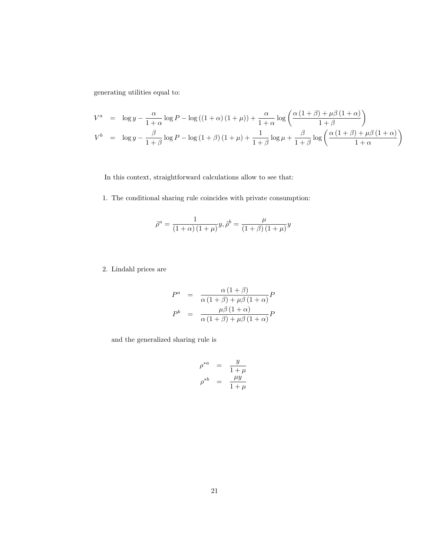generating utilities equal to:

$$
V^{a} = \log y - \frac{\alpha}{1+\alpha} \log P - \log((1+\alpha)(1+\mu)) + \frac{\alpha}{1+\alpha} \log \left(\frac{\alpha(1+\beta)+\mu\beta(1+\alpha)}{1+\beta}\right)
$$
  

$$
V^{b} = \log y - \frac{\beta}{1+\beta} \log P - \log(1+\beta)(1+\mu) + \frac{1}{1+\beta} \log \mu + \frac{\beta}{1+\beta} \log \left(\frac{\alpha(1+\beta)+\mu\beta(1+\alpha)}{1+\alpha}\right)
$$

In this context, straightforward calculations allow to see that:

1. The conditional sharing rule coincides with private consumption:

$$
\tilde{\rho}^{a} = \frac{1}{\left(1+\alpha\right)\left(1+\mu\right)} y, \tilde{\rho}^{b} = \frac{\mu}{\left(1+\beta\right)\left(1+\mu\right)} y
$$

2. Lindahl prices are

$$
P^a = \frac{\alpha (1 + \beta)}{\alpha (1 + \beta) + \mu \beta (1 + \alpha)} P
$$

$$
P^b = \frac{\mu \beta (1 + \alpha)}{\alpha (1 + \beta) + \mu \beta (1 + \alpha)} P
$$

and the generalized sharing rule is

$$
\rho^{*a} = \frac{y}{1+\mu}
$$
  

$$
\rho^{*b} = \frac{\mu y}{1+\mu}
$$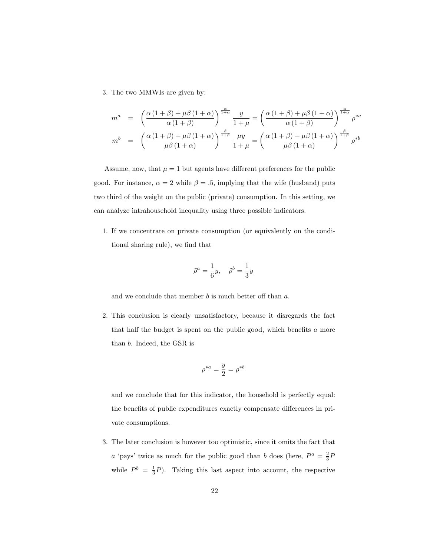3. The two MMWIs are given by:

$$
m^{a} = \left(\frac{\alpha (1+\beta) + \mu\beta (1+\alpha)}{\alpha (1+\beta)}\right)^{\frac{\alpha}{1+\alpha}} \frac{y}{1+\mu} = \left(\frac{\alpha (1+\beta) + \mu\beta (1+\alpha)}{\alpha (1+\beta)}\right)^{\frac{\alpha}{1+\alpha}} \rho^{*a}
$$

$$
m^{b} = \left(\frac{\alpha (1+\beta) + \mu\beta (1+\alpha)}{\mu\beta (1+\alpha)}\right)^{\frac{\beta}{1+\beta}} \frac{\mu y}{1+\mu} = \left(\frac{\alpha (1+\beta) + \mu\beta (1+\alpha)}{\mu\beta (1+\alpha)}\right)^{\frac{\beta}{1+\beta}} \rho^{*b}
$$

Assume, now, that  $\mu = 1$  but agents have different preferences for the public good. For instance,  $\alpha = 2$  while  $\beta = .5$ , implying that the wife (husband) puts two third of the weight on the public (private) consumption. In this setting, we can analyze intrahousehold inequality using three possible indicators.

1. If we concentrate on private consumption (or equivalently on the conditional sharing rule), we find that

$$
\tilde{\rho}^a = \frac{1}{6}y, \quad \tilde{\rho}^b = \frac{1}{3}y
$$

and we conclude that member  $b$  is much better off than  $a$ .

2. This conclusion is clearly unsatisfactory, because it disregards the fact that half the budget is spent on the public good, which benefits  $a$  more than b. Indeed, the GSR is

$$
\rho^{\ast a}=\frac{y}{2}=\rho^{\ast b}
$$

and we conclude that for this indicator, the household is perfectly equal: the benefits of public expenditures exactly compensate differences in private consumptions.

3. The later conclusion is however too optimistic, since it omits the fact that a 'pays' twice as much for the public good than b does (here,  $P^a = \frac{2}{3}P$ while  $P^b = \frac{1}{3}P$ . Taking this last aspect into account, the respective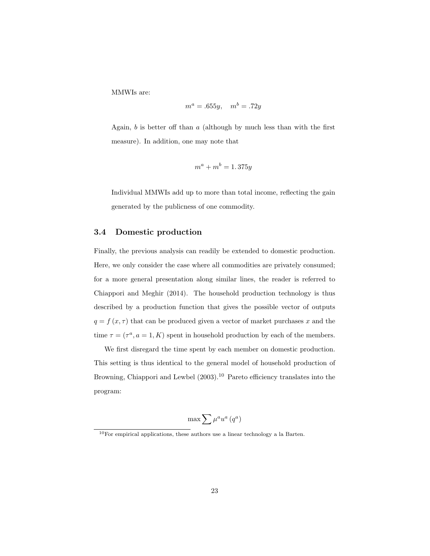MMWIs are:

$$
m^a = .655y, \quad m^b = .72y
$$

Again,  $b$  is better off than  $a$  (although by much less than with the first measure). In addition, one may note that

$$
m^a + m^b = 1.375y
$$

Individual MMWIs add up to more than total income, reflecting the gain generated by the publicness of one commodity.

#### 3.4 Domestic production

Finally, the previous analysis can readily be extended to domestic production. Here, we only consider the case where all commodities are privately consumed; for a more general presentation along similar lines, the reader is referred to Chiappori and Meghir (2014). The household production technology is thus described by a production function that gives the possible vector of outputs  $q = f(x, \tau)$  that can be produced given a vector of market purchases x and the time  $\tau = (\tau^a, a = 1, K)$  spent in household production by each of the members.

We first disregard the time spent by each member on domestic production. This setting is thus identical to the general model of household production of Browning, Chiappori and Lewbel (2003).<sup>10</sup> Pareto efficiency translates into the program:

$$
\max \sum \mu^{a} u^{a}\left(q^{a}\right)
$$

 $10$ For empirical applications, these authors use a linear technology a la Barten.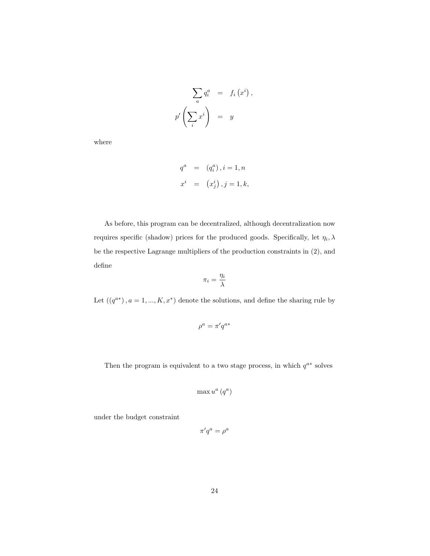$$
\sum_{a} q_i^a = f_i(x^i)
$$
  

$$
p' \left(\sum_i x^i\right) = y
$$

,

where

$$
q^{a} = (q_{i}^{a}), i = 1, n
$$
  

$$
x^{i} = (x_{j}^{i}), j = 1, k,
$$

As before, this program can be decentralized, although decentralization now requires specific (shadow) prices for the produced goods. Specifically, let  $\eta_i$ ,  $\lambda$ be the respective Lagrange multipliers of the production constraints in (2), and define

$$
\pi_i = \frac{\eta_i}{\lambda}
$$

Let  $((q^{a*}), a = 1, ..., K, x^*)$  denote the solutions, and define the sharing rule by

$$
\rho^a=\pi'q^{a*}
$$

Then the program is equivalent to a two stage process, in which  $q^{a*}$  solves

$$
\max u^a\left(q^a\right)
$$

under the budget constraint

$$
\pi'q^a=\rho^a
$$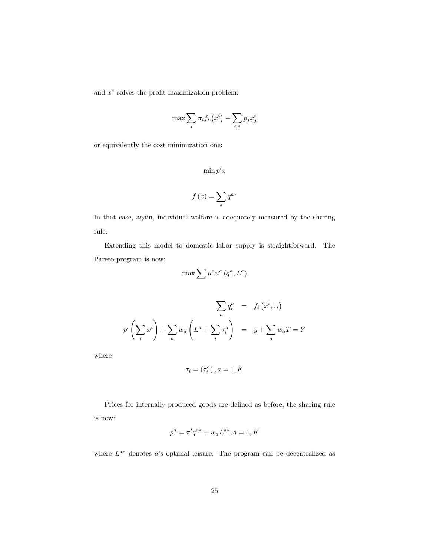and x ∗ solves the profit maximization problem:

$$
\max \sum_{i} \pi_i f_i\left(x^i\right) - \sum_{i,j} p_j x_j^i
$$

or equivalently the cost minimization one:

$$
\min p'x
$$

$$
f\left( x\right) =\sum_{a}q^{a\ast }
$$

In that case, again, individual welfare is adequately measured by the sharing rule.

Extending this model to domestic labor supply is straightforward. The Pareto program is now:

$$
\max \sum \mu^{a} u^{a}\left(q^{a},L^{a}\right)
$$

$$
\sum_{a} q_i^a = f_i(x^i, \tau_i)
$$

$$
p' \left(\sum_i x^i\right) + \sum_a w_a \left(L^a + \sum_i \tau_i^a\right) = y + \sum_a w_a T = Y
$$

where

$$
\tau_i = (\tau_i^a), a = 1, K
$$

Prices for internally produced goods are defined as before; the sharing rule is now:

$$
\rho^a = \pi' q^{a*} + w_a L^{a*}, a = 1, K
$$

where  $L^{a*}$  denotes a's optimal leisure. The program can be decentralized as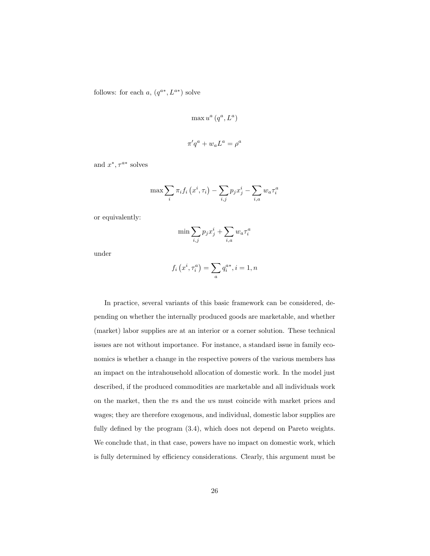follows: for each  $a, (q^{a*}, L^{a*})$  solve

$$
\label{eq:10} \begin{array}{l} \displaystyle \max u^a \left( q^a, L^a \right) \\ \\ \displaystyle \pi' q^a + w_a L^a = \rho^a \end{array}
$$

and  $x^*, \tau^{a*}$  solves

$$
\max \sum_{i} \pi_i f_i \left( x^i, \tau_i \right) - \sum_{i,j} p_j x_j^i - \sum_{i,a} w_a \tau_i^a
$$

or equivalently:

$$
\min \sum_{i,j} p_j x_j^i + \sum_{i,a} w_a \tau_i^a
$$

under

$$
f_i(x^i, \tau_i^a) = \sum_a q_i^{a*}, i = 1, n
$$

In practice, several variants of this basic framework can be considered, depending on whether the internally produced goods are marketable, and whether (market) labor supplies are at an interior or a corner solution. These technical issues are not without importance. For instance, a standard issue in family economics is whether a change in the respective powers of the various members has an impact on the intrahousehold allocation of domestic work. In the model just described, if the produced commodities are marketable and all individuals work on the market, then the  $\pi s$  and the  $ws$  must coincide with market prices and wages; they are therefore exogenous, and individual, domestic labor supplies are fully defined by the program (3.4), which does not depend on Pareto weights. We conclude that, in that case, powers have no impact on domestic work, which is fully determined by efficiency considerations. Clearly, this argument must be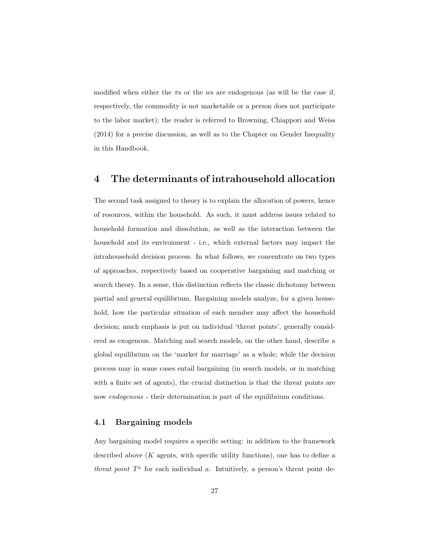modified when either the  $\pi s$  or the ws are endogenous (as will be the case if, respectively, the commodity is not marketable or a person does not participate to the labor market); the reader is referred to Browning, Chiappori and Weiss (2014) for a precise discussion, as well as to the Chapter on Gender Inequality in this Handbook.

### 4 The determinants of intrahousehold allocation

The second task assigned to theory is to explain the allocation of powers, hence of resources, within the household. As such, it must address issues related to household formation and dissolution, as well as the interaction between the household and its environment - i.e., which external factors may impact the intrahousehold decision process. In what follows, we concentrate on two types of approaches, respectively based on cooperative bargaining and matching or search theory. In a sense, this distinction reflects the classic dichotomy between partial and general equilibrium. Bargaining models analyze, for a given household, how the particular situation of each member may affect the household decision; much emphasis is put on individual 'threat points', generally considered as exogenous. Matching and search models, on the other hand, describe a global equilibrium on the 'market for marriage' as a whole; while the decision process may in some cases entail bargaining (in search models, or in matching with a finite set of agents), the crucial distinction is that the threat points are now endogenous - their determination is part of the equilibrium conditions.

#### 4.1 Bargaining models

Any bargaining model requires a specific setting: in addition to the framework described above  $(K$  agents, with specific utility functions), one has to define a threat point  $T^a$  for each individual a. Intuitively, a person's threat point de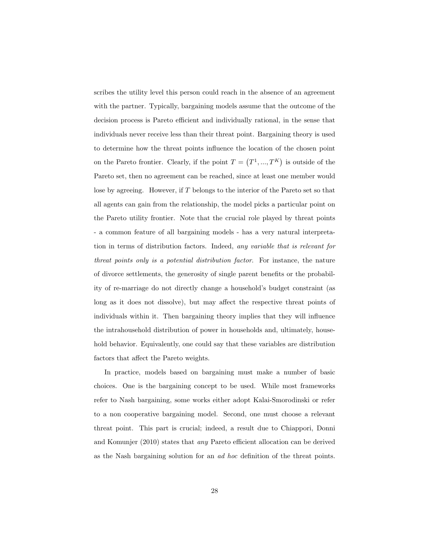scribes the utility level this person could reach in the absence of an agreement with the partner. Typically, bargaining models assume that the outcome of the decision process is Pareto efficient and individually rational, in the sense that individuals never receive less than their threat point. Bargaining theory is used to determine how the threat points influence the location of the chosen point on the Pareto frontier. Clearly, if the point  $T = (T^1, ..., T^K)$  is outside of the Pareto set, then no agreement can be reached, since at least one member would lose by agreeing. However, if T belongs to the interior of the Pareto set so that all agents can gain from the relationship, the model picks a particular point on the Pareto utility frontier. Note that the crucial role played by threat points - a common feature of all bargaining models - has a very natural interpretation in terms of distribution factors. Indeed, any variable that is relevant for threat points only is a potential distribution factor. For instance, the nature of divorce settlements, the generosity of single parent benefits or the probability of re-marriage do not directly change a household's budget constraint (as long as it does not dissolve), but may affect the respective threat points of individuals within it. Then bargaining theory implies that they will influence the intrahousehold distribution of power in households and, ultimately, household behavior. Equivalently, one could say that these variables are distribution factors that affect the Pareto weights.

In practice, models based on bargaining must make a number of basic choices. One is the bargaining concept to be used. While most frameworks refer to Nash bargaining, some works either adopt Kalai-Smorodinski or refer to a non cooperative bargaining model. Second, one must choose a relevant threat point. This part is crucial; indeed, a result due to Chiappori, Donni and Komunjer (2010) states that any Pareto efficient allocation can be derived as the Nash bargaining solution for an ad hoc definition of the threat points.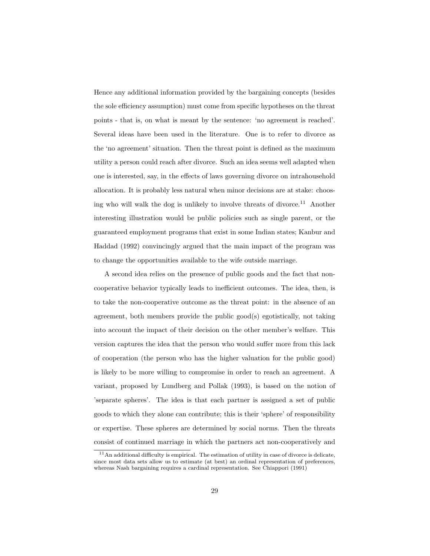Hence any additional information provided by the bargaining concepts (besides the sole efficiency assumption) must come from specific hypotheses on the threat points - that is, on what is meant by the sentence: 'no agreement is reached'. Several ideas have been used in the literature. One is to refer to divorce as the 'no agreement' situation. Then the threat point is defined as the maximum utility a person could reach after divorce. Such an idea seems well adapted when one is interested, say, in the effects of laws governing divorce on intrahousehold allocation. It is probably less natural when minor decisions are at stake: choosing who will walk the dog is unlikely to involve threats of divorce.<sup>11</sup> Another interesting illustration would be public policies such as single parent, or the guaranteed employment programs that exist in some Indian states; Kanbur and Haddad (1992) convincingly argued that the main impact of the program was to change the opportunities available to the wife outside marriage.

A second idea relies on the presence of public goods and the fact that noncooperative behavior typically leads to inefficient outcomes. The idea, then, is to take the non-cooperative outcome as the threat point: in the absence of an agreement, both members provide the public good(s) egotistically, not taking into account the impact of their decision on the other member's welfare. This version captures the idea that the person who would suffer more from this lack of cooperation (the person who has the higher valuation for the public good) is likely to be more willing to compromise in order to reach an agreement. A variant, proposed by Lundberg and Pollak (1993), is based on the notion of 'separate spheres'. The idea is that each partner is assigned a set of public goods to which they alone can contribute; this is their 'sphere' of responsibility or expertise. These spheres are determined by social norms. Then the threats consist of continued marriage in which the partners act non-cooperatively and

<sup>11</sup>An additional difficulty is empirical. The estimation of utility in case of divorce is delicate, since most data sets allow us to estimate (at best) an ordinal representation of preferences, whereas Nash bargaining requires a cardinal representation. See Chiappori (1991)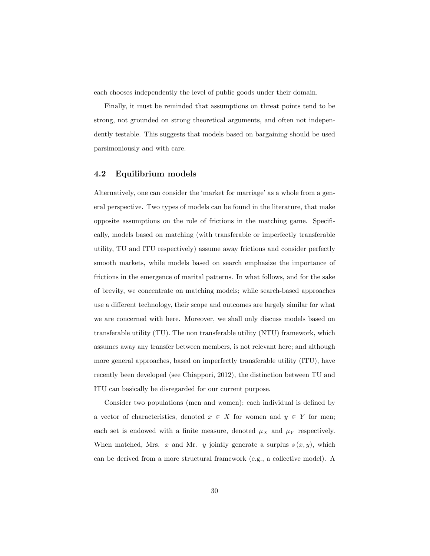each chooses independently the level of public goods under their domain.

Finally, it must be reminded that assumptions on threat points tend to be strong, not grounded on strong theoretical arguments, and often not independently testable. This suggests that models based on bargaining should be used parsimoniously and with care.

#### 4.2 Equilibrium models

Alternatively, one can consider the 'market for marriage' as a whole from a general perspective. Two types of models can be found in the literature, that make opposite assumptions on the role of frictions in the matching game. Specifically, models based on matching (with transferable or imperfectly transferable utility, TU and ITU respectively) assume away frictions and consider perfectly smooth markets, while models based on search emphasize the importance of frictions in the emergence of marital patterns. In what follows, and for the sake of brevity, we concentrate on matching models; while search-based approaches use a different technology, their scope and outcomes are largely similar for what we are concerned with here. Moreover, we shall only discuss models based on transferable utility (TU). The non transferable utility (NTU) framework, which assumes away any transfer between members, is not relevant here; and although more general approaches, based on imperfectly transferable utility (ITU), have recently been developed (see Chiappori, 2012), the distinction between TU and ITU can basically be disregarded for our current purpose.

Consider two populations (men and women); each individual is defined by a vector of characteristics, denoted  $x \in X$  for women and  $y \in Y$  for men; each set is endowed with a finite measure, denoted  $\mu_X$  and  $\mu_Y$  respectively. When matched, Mrs. x and Mr. y jointly generate a surplus  $s(x, y)$ , which can be derived from a more structural framework (e.g., a collective model). A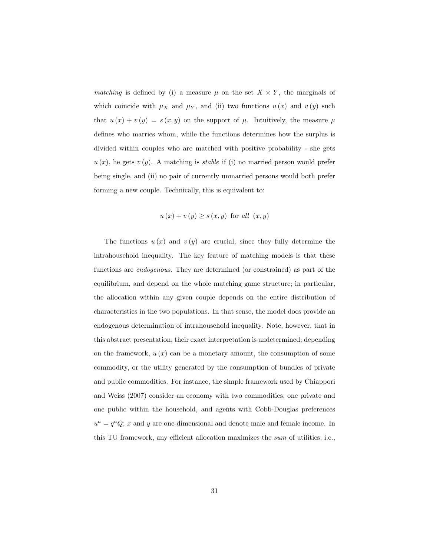matching is defined by (i) a measure  $\mu$  on the set  $X \times Y$ , the marginals of which coincide with  $\mu_X$  and  $\mu_Y$ , and (ii) two functions  $u(x)$  and  $v(y)$  such that  $u(x) + v(y) = s(x, y)$  on the support of  $\mu$ . Intuitively, the measure  $\mu$ defines who marries whom, while the functions determines how the surplus is divided within couples who are matched with positive probability - she gets  $u(x)$ , he gets  $v(y)$ . A matching is *stable* if (i) no married person would prefer being single, and (ii) no pair of currently unmarried persons would both prefer forming a new couple. Technically, this is equivalent to:

$$
u(x) + v(y) \geq s(x, y)
$$
 for all  $(x, y)$ 

The functions  $u(x)$  and  $v(y)$  are crucial, since they fully determine the intrahousehold inequality. The key feature of matching models is that these functions are endogenous. They are determined (or constrained) as part of the equilibrium, and depend on the whole matching game structure; in particular, the allocation within any given couple depends on the entire distribution of characteristics in the two populations. In that sense, the model does provide an endogenous determination of intrahousehold inequality. Note, however, that in this abstract presentation, their exact interpretation is undetermined; depending on the framework,  $u(x)$  can be a monetary amount, the consumption of some commodity, or the utility generated by the consumption of bundles of private and public commodities. For instance, the simple framework used by Chiappori and Weiss (2007) consider an economy with two commodities, one private and one public within the household, and agents with Cobb-Douglas preferences  $u^a = q^a Q$ ; x and y are one-dimensional and denote male and female income. In this TU framework, any efficient allocation maximizes the sum of utilities; i.e.,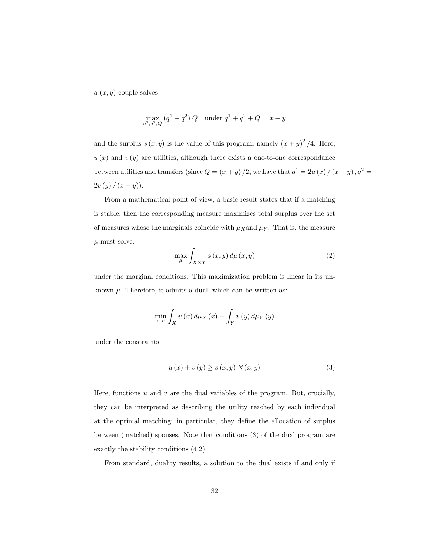a  $(x, y)$  couple solves

$$
\max_{q^1, q^2, Q} (q^1 + q^2) Q \quad \text{under } q^1 + q^2 + Q = x + y
$$

and the surplus  $s(x, y)$  is the value of this program, namely  $(x + y)^2/4$ . Here,  $u(x)$  and  $v(y)$  are utilities, although there exists a one-to-one correspondance between utilities and transfers (since  $Q = (x + y)/2$ , we have that  $q^1 = 2u(x)/(x + y)$ ,  $q^2 =$  $2v(y)/(x+y)).$ 

From a mathematical point of view, a basic result states that if a matching is stable, then the corresponding measure maximizes total surplus over the set of measures whose the marginals coincide with  $\mu_X$  and  $\mu_Y$ . That is, the measure  $\mu$  must solve:

$$
\max_{\mu} \int_{X \times Y} s(x, y) d\mu(x, y) \tag{2}
$$

under the marginal conditions. This maximization problem is linear in its unknown  $\mu$ . Therefore, it admits a dual, which can be written as:

$$
\min_{u,v} \int_X u(x) \, d\mu_X(x) + \int_Y v(y) \, d\mu_Y(y)
$$

under the constraints

$$
u(x) + v(y) \ge s(x, y) \quad \forall (x, y)
$$
\n<sup>(3)</sup>

Here, functions  $u$  and  $v$  are the dual variables of the program. But, crucially, they can be interpreted as describing the utility reached by each individual at the optimal matching; in particular, they define the allocation of surplus between (matched) spouses. Note that conditions (3) of the dual program are exactly the stability conditions (4.2).

From standard, duality results, a solution to the dual exists if and only if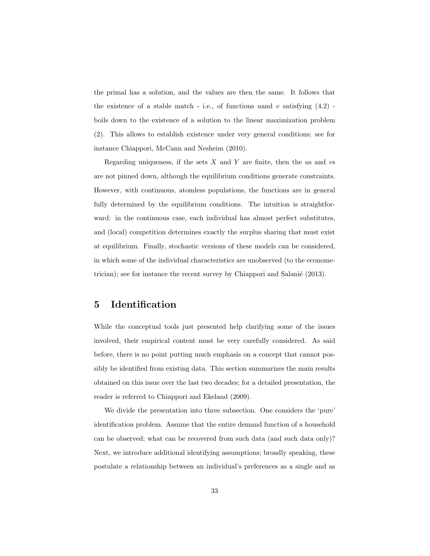the primal has a solution, and the values are then the same. It follows that the existence of a stable match - i.e., of functions uand v satisfying  $(4.2)$  boils down to the existence of a solution to the linear maximization problem (2). This allows to establish existence under very general conditions; see for instance Chiappori, McCann and Nesheim (2010).

Regarding uniqueness, if the sets  $X$  and  $Y$  are finite, then the us and vs are not pinned down, although the equilibrium conditions generate constraints. However, with continuous, atomless populations, the functions are in general fully determined by the equilibrium conditions. The intuition is straightforward: in the continuous case, each individual has almost perfect substitutes, and (local) competition determines exactly the surplus sharing that must exist at equilibrium. Finally, stochastic versions of these models can be considered, in which some of the individual characteristics are unobserved (to the econometrician); see for instance the recent survey by Chiappori and Salanié  $(2013)$ .

## 5 Identification

While the conceptual tools just presented help clarifying some of the issues involved, their empirical content must be very carefully considered. As said before, there is no point putting much emphasis on a concept that cannot possibly be identified from existing data. This section summarizes the main results obtained on this issue over the last two decades; for a detailed presentation, the reader is referred to Chiappori and Ekeland (2009).

We divide the presentation into three subsection. One considers the 'pure' identification problem. Assume that the entire demand function of a household can be observed; what can be recovered from such data (and such data only)? Next, we introduce additional identifying assumptions; broadly speaking, these postulate a relationship between an individual's preferences as a single and as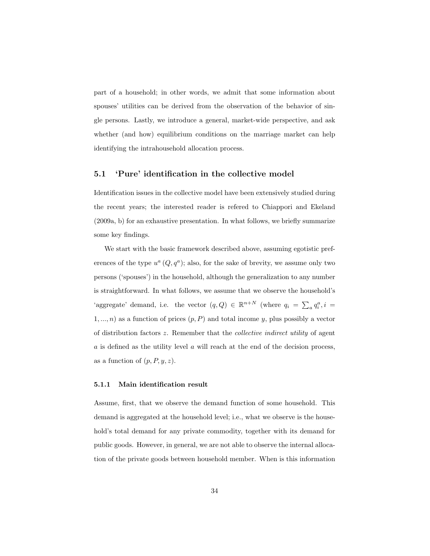part of a household; in other words, we admit that some information about spouses' utilities can be derived from the observation of the behavior of single persons. Lastly, we introduce a general, market-wide perspective, and ask whether (and how) equilibrium conditions on the marriage market can help identifying the intrahousehold allocation process.

#### 5.1 'Pure' identification in the collective model

Identification issues in the collective model have been extensively studied during the recent years; the interested reader is refered to Chiappori and Ekeland (2009a, b) for an exhaustive presentation. In what follows, we briefly summarize some key findings.

We start with the basic framework described above, assuming egotistic preferences of the type  $u^a(Q, q^a)$ ; also, for the sake of brevity, we assume only two persons ('spouses') in the household, although the generalization to any number is straightforward. In what follows, we assume that we observe the household's 'aggregate' demand, i.e. the vector  $(q, Q) \in \mathbb{R}^{n+N}$  (where  $q_i = \sum_a q_i^a$ ,  $i =$  $1, \ldots, n$ ) as a function of prices  $(p, P)$  and total income y, plus possibly a vector of distribution factors z. Remember that the collective indirect utility of agent  $a$  is defined as the utility level  $a$  will reach at the end of the decision process, as a function of  $(p, P, y, z)$ .

#### 5.1.1 Main identification result

Assume, first, that we observe the demand function of some household. This demand is aggregated at the household level; i.e., what we observe is the household's total demand for any private commodity, together with its demand for public goods. However, in general, we are not able to observe the internal allocation of the private goods between household member. When is this information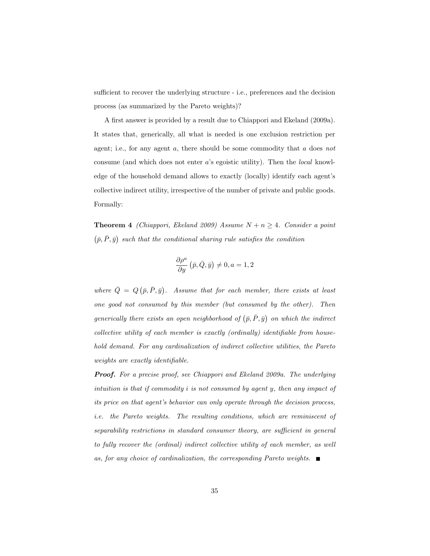sufficient to recover the underlying structure - i.e., preferences and the decision process (as summarized by the Pareto weights)?

A first answer is provided by a result due to Chiappori and Ekeland (2009a). It states that, generically, all what is needed is one exclusion restriction per agent; i.e., for any agent  $a$ , there should be some commodity that  $a$  does not consume (and which does not enter a's egoistic utility). Then the *local* knowledge of the household demand allows to exactly (locally) identify each agent's collective indirect utility, irrespective of the number of private and public goods. Formally:

**Theorem 4** (Chiappori, Ekeland 2009) Assume  $N + n \geq 4$ . Consider a point  $(\bar{p}, \bar{P}, \bar{y})$  such that the conditional sharing rule satisfies the condition

$$
\frac{\partial \rho^{a}}{\partial y}\left(\bar{p},\bar{Q},\bar{y}\right)\neq 0, a=1,2
$$

where  $\overline{Q} = Q(\overline{p}, \overline{P}, \overline{y})$ . Assume that for each member, there exists at least one good not consumed by this member (but consumed by the other). Then generically there exists an open neighborhood of  $(\bar{p}, \bar{P}, \bar{y})$  on which the indirect collective utility of each member is exactly (ordinally) identifiable from household demand. For any cardinalization of indirect collective utilities, the Pareto weights are exactly identifiable.

**Proof.** For a precise proof, see Chiappori and Ekeland 2009a. The underlying intuition is that if commodity i is not consumed by agent y, then any impact of its price on that agent's behavior can only operate through the decision process, i.e. the Pareto weights. The resulting conditions, which are reminiscent of separability restrictions in standard consumer theory, are sufficient in general to fully recover the (ordinal) indirect collective utility of each member, as well as, for any choice of cardinalization, the corresponding Pareto weights.  $\blacksquare$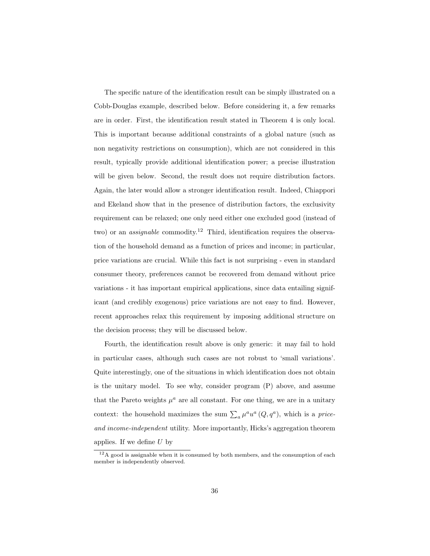The specific nature of the identification result can be simply illustrated on a Cobb-Douglas example, described below. Before considering it, a few remarks are in order. First, the identification result stated in Theorem 4 is only local. This is important because additional constraints of a global nature (such as non negativity restrictions on consumption), which are not considered in this result, typically provide additional identification power; a precise illustration will be given below. Second, the result does not require distribution factors. Again, the later would allow a stronger identification result. Indeed, Chiappori and Ekeland show that in the presence of distribution factors, the exclusivity requirement can be relaxed; one only need either one excluded good (instead of two) or an *assignable* commodity.<sup>12</sup> Third, identification requires the observation of the household demand as a function of prices and income; in particular, price variations are crucial. While this fact is not surprising - even in standard consumer theory, preferences cannot be recovered from demand without price variations - it has important empirical applications, since data entailing significant (and credibly exogenous) price variations are not easy to find. However, recent approaches relax this requirement by imposing additional structure on the decision process; they will be discussed below.

Fourth, the identification result above is only generic: it may fail to hold in particular cases, although such cases are not robust to 'small variations'. Quite interestingly, one of the situations in which identification does not obtain is the unitary model. To see why, consider program (P) above, and assume that the Pareto weights  $\mu^a$  are all constant. For one thing, we are in a unitary context: the household maximizes the sum  $\sum_a \mu^a u^a (Q, q^a)$ , which is a priceand income-independent utility. More importantly, Hicks's aggregation theorem applies. If we define  $U$  by

 $12A$  good is assignable when it is consumed by both members, and the consumption of each member is independently observed.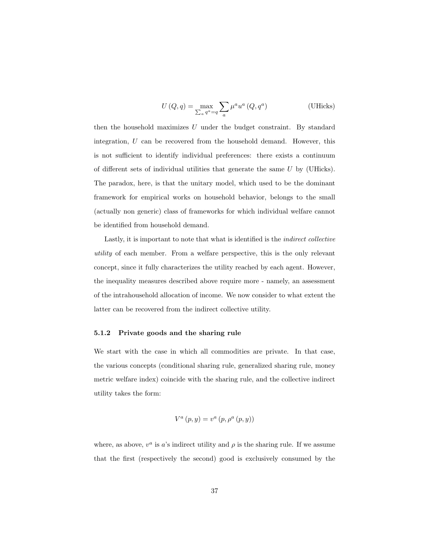$$
U\left(Q,q\right)=\max_{\sum_{a}q^{a}=q}\sum_{a}\mu^{a}u^{a}\left(Q,q^{a}\right) \tag{UHicks}
$$

then the household maximizes  $U$  under the budget constraint. By standard integration, U can be recovered from the household demand. However, this is not sufficient to identify individual preferences: there exists a continuum of different sets of individual utilities that generate the same U by (UHicks). The paradox, here, is that the unitary model, which used to be the dominant framework for empirical works on household behavior, belongs to the small (actually non generic) class of frameworks for which individual welfare cannot be identified from household demand.

Lastly, it is important to note that what is identified is the indirect collective utility of each member. From a welfare perspective, this is the only relevant concept, since it fully characterizes the utility reached by each agent. However, the inequality measures described above require more - namely, an assessment of the intrahousehold allocation of income. We now consider to what extent the latter can be recovered from the indirect collective utility.

### 5.1.2 Private goods and the sharing rule

We start with the case in which all commodities are private. In that case, the various concepts (conditional sharing rule, generalized sharing rule, money metric welfare index) coincide with the sharing rule, and the collective indirect utility takes the form:

$$
V^{a}(p, y) = v^{a}(p, \rho^{a}(p, y))
$$

where, as above,  $v^a$  is a's indirect utility and  $\rho$  is the sharing rule. If we assume that the first (respectively the second) good is exclusively consumed by the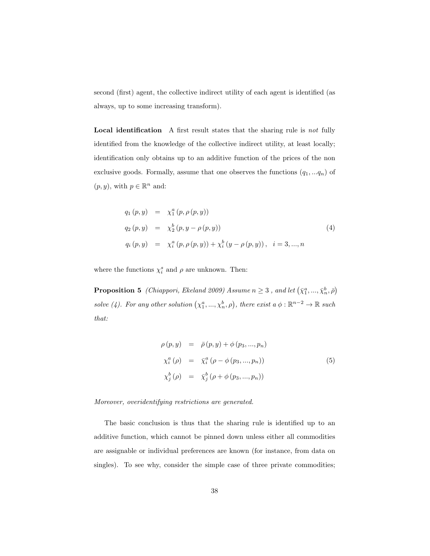second (first) agent, the collective indirect utility of each agent is identified (as always, up to some increasing transform).

Local identification A first result states that the sharing rule is not fully identified from the knowledge of the collective indirect utility, at least locally; identification only obtains up to an additive function of the prices of the non exclusive goods. Formally, assume that one observes the functions  $\left( q_{1},...q_{n}\right)$  of  $(p, y)$ , with  $p \in \mathbb{R}^n$  and:

$$
q_1 (p, y) = \chi_1^a (p, \rho (p, y))
$$
  
\n
$$
q_2 (p, y) = \chi_2^b (p, y - \rho (p, y))
$$
  
\n
$$
q_i (p, y) = \chi_i^a (p, \rho (p, y)) + \chi_i^b (y - \rho (p, y)), \quad i = 3, ..., n
$$
\n(4)

where the functions  $\chi_i^s$  and  $\rho$  are unknown. Then:

**Proposition 5** (Chiappori, Ekeland 2009) Assume  $n \geq 3$ , and let  $(\bar{\chi}_1^a, ..., \bar{\chi}_n^b, \bar{\rho})$ solve (4). For any other solution  $(\chi_1^a, ..., \chi_n^b, \rho)$ , there exist  $a \phi : \mathbb{R}^{n-2} \to \mathbb{R}$  such that:

$$
\rho(p, y) = \bar{\rho}(p, y) + \phi(p_3, ..., p_n) \n\chi_i^a(\rho) = \bar{\chi}_i^a(\rho - \phi(p_3, ..., p_n)) \n\chi_j^b(\rho) = \bar{\chi}_j^b(\rho + \phi(p_3, ..., p_n))
$$
\n(5)

Moreover, overidentifying restrictions are generated.

The basic conclusion is thus that the sharing rule is identified up to an additive function, which cannot be pinned down unless either all commodities are assignable or individual preferences are known (for instance, from data on singles). To see why, consider the simple case of three private commodities;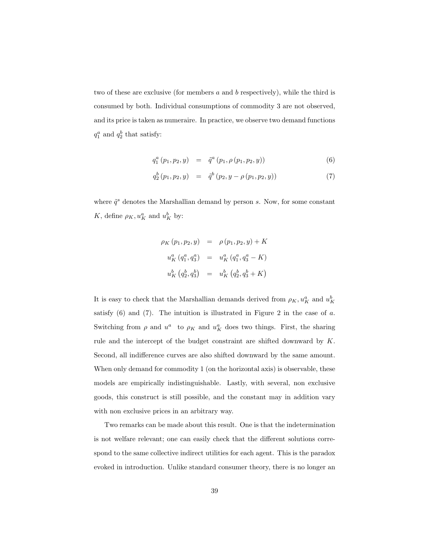two of these are exclusive (for members  $a$  and  $b$  respectively), while the third is consumed by both. Individual consumptions of commodity 3 are not observed, and its price is taken as numeraire. In practice, we observe two demand functions  $q_1^a$  and  $q_2^b$  that satisfy:

$$
q_1^a(p_1, p_2, y) = \tilde{q}^a(p_1, \rho(p_1, p_2, y)) \tag{6}
$$

$$
q_2^b(p_1, p_2, y) = \tilde{q}^b(p_2, y - \rho(p_1, p_2, y)) \tag{7}
$$

where  $\tilde{q}^s$  denotes the Marshallian demand by person s. Now, for some constant K, define  $\rho_K$ ,  $u_K^a$  and  $u_K^b$  by:

$$
\rho_K(p_1, p_2, y) = \rho(p_1, p_2, y) + K
$$
  

$$
u_K^a(q_1^a, q_3^a) = u_K^a(q_1^a, q_3^a - K)
$$
  

$$
u_K^b(q_2^b, q_3^b) = u_K^b(q_2^b, q_3^b + K)
$$

It is easy to check that the Marshallian demands derived from  $\rho_K, u_K^a$  and  $u_K^b$ satisfy  $(6)$  and  $(7)$ . The intuition is illustrated in Figure 2 in the case of a. Switching from  $\rho$  and  $u^a$  to  $\rho_K$  and  $u^a_K$  does two things. First, the sharing rule and the intercept of the budget constraint are shifted downward by K. Second, all indifference curves are also shifted downward by the same amount. When only demand for commodity 1 (on the horizontal axis) is observable, these models are empirically indistinguishable. Lastly, with several, non exclusive goods, this construct is still possible, and the constant may in addition vary with non exclusive prices in an arbitrary way.

Two remarks can be made about this result. One is that the indetermination is not welfare relevant; one can easily check that the different solutions correspond to the same collective indirect utilities for each agent. This is the paradox evoked in introduction. Unlike standard consumer theory, there is no longer an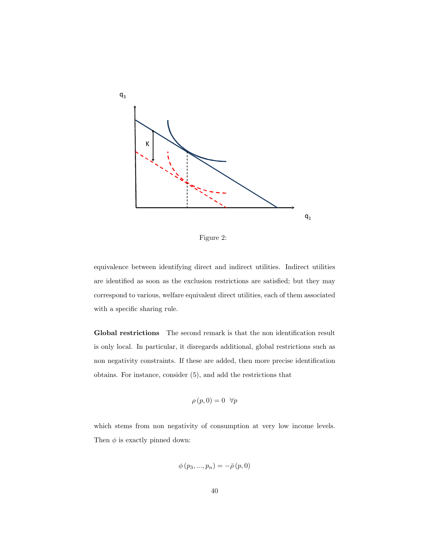

Figure 2:

equivalence between identifying direct and indirect utilities. Indirect utilities are identified as soon as the exclusion restrictions are satisfied; but they may correspond to various, welfare equivalent direct utilities, each of them associated with a specific sharing rule.

Global restrictions The second remark is that the non identification result is only local. In particular, it disregards additional, global restrictions such as non negativity constraints. If these are added, then more precise identification obtains. For instance, consider (5), and add the restrictions that

$$
\rho(p,0) = 0 \quad \forall p
$$

which stems from non negativity of consumption at very low income levels. Then  $\phi$  is exactly pinned down:

$$
\phi(p_3, ..., p_n) = -\bar{\rho}(p, 0)
$$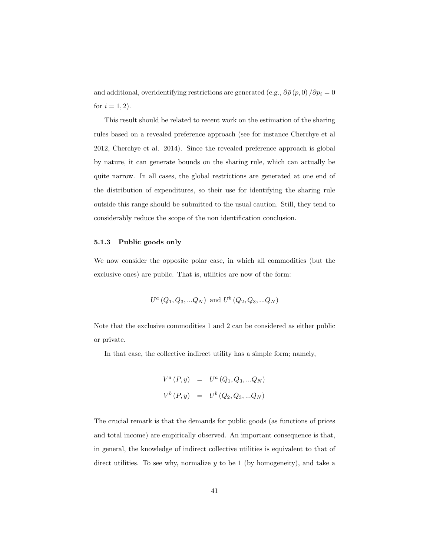and additional, overidentifying restrictions are generated (e.g.,  $\partial \bar{\rho}(p, 0) / \partial p_i = 0$ for  $i = 1, 2$ .

This result should be related to recent work on the estimation of the sharing rules based on a revealed preference approach (see for instance Cherchye et al 2012, Cherchye et al. 2014). Since the revealed preference approach is global by nature, it can generate bounds on the sharing rule, which can actually be quite narrow. In all cases, the global restrictions are generated at one end of the distribution of expenditures, so their use for identifying the sharing rule outside this range should be submitted to the usual caution. Still, they tend to considerably reduce the scope of the non identification conclusion.

### 5.1.3 Public goods only

We now consider the opposite polar case, in which all commodities (but the exclusive ones) are public. That is, utilities are now of the form:

$$
U^a (Q_1, Q_3, ... Q_N)
$$
 and  $U^b (Q_2, Q_3, ... Q_N)$ 

Note that the exclusive commodities 1 and 2 can be considered as either public or private.

In that case, the collective indirect utility has a simple form; namely,

$$
V^{a}(P, y) = U^{a}(Q_{1}, Q_{3}, ... Q_{N})
$$
  

$$
V^{b}(P, y) = U^{b}(Q_{2}, Q_{3}, ... Q_{N})
$$

The crucial remark is that the demands for public goods (as functions of prices and total income) are empirically observed. An important consequence is that, in general, the knowledge of indirect collective utilities is equivalent to that of direct utilities. To see why, normalize  $y$  to be 1 (by homogeneity), and take a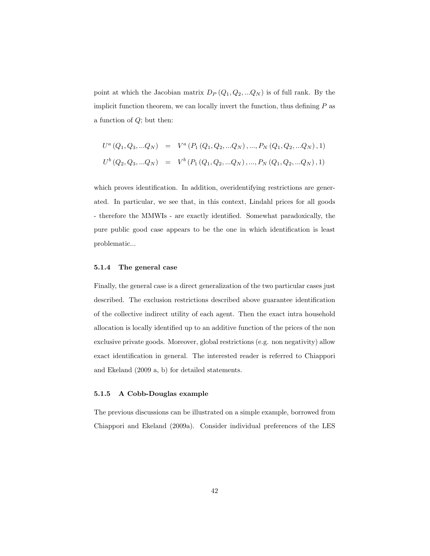point at which the Jacobian matrix  $D_P\left(Q_1,Q_2,...Q_N\right)$  is of full rank. By the implicit function theorem, we can locally invert the function, thus defining  $P$  as a function of  $Q$ ; but then:

$$
U^{a}(Q_{1}, Q_{3},...Q_{N}) = V^{a}(P_{1}(Q_{1}, Q_{2},...Q_{N}),..., P_{N}(Q_{1}, Q_{2},...Q_{N}), 1)
$$
  

$$
U^{b}(Q_{2}, Q_{3},...Q_{N}) = V^{b}(P_{1}(Q_{1}, Q_{2},...Q_{N}),..., P_{N}(Q_{1}, Q_{2},...Q_{N}), 1)
$$

which proves identification. In addition, overidentifying restrictions are generated. In particular, we see that, in this context, Lindahl prices for all goods - therefore the MMWIs - are exactly identified. Somewhat paradoxically, the pure public good case appears to be the one in which identification is least problematic...

### 5.1.4 The general case

Finally, the general case is a direct generalization of the two particular cases just described. The exclusion restrictions described above guarantee identification of the collective indirect utility of each agent. Then the exact intra household allocation is locally identified up to an additive function of the prices of the non exclusive private goods. Moreover, global restrictions (e.g. non negativity) allow exact identification in general. The interested reader is referred to Chiappori and Ekeland (2009 a, b) for detailed statements.

### 5.1.5 A Cobb-Douglas example

The previous discussions can be illustrated on a simple example, borrowed from Chiappori and Ekeland (2009a). Consider individual preferences of the LES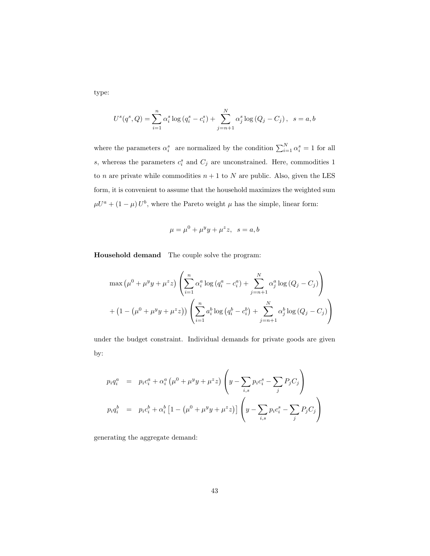type:

$$
U^{s}(q^{s}, Q) = \sum_{i=1}^{n} \alpha_{i}^{s} \log (q_{i}^{s} - c_{i}^{s}) + \sum_{j=n+1}^{N} \alpha_{j}^{s} \log (Q_{j} - C_{j}), \ \ s = a, b
$$

where the parameters  $\alpha_i^s$  are normalized by the condition  $\sum_{i=1}^N \alpha_i^s = 1$  for all s, whereas the parameters  $c_i^s$  and  $C_j$  are unconstrained. Here, commodities 1 to n are private while commodities  $n + 1$  to N are public. Also, given the LES form, it is convenient to assume that the household maximizes the weighted sum  $\mu U^a + (1 - \mu) U^b$ , where the Pareto weight  $\mu$  has the simple, linear form:

$$
\mu = \mu^0 + \mu^y y + \mu^z z, \ \ s = a, b
$$

Household demand The couple solve the program:

$$
\max (\mu^{0} + \mu^{y} y + \mu^{z} z) \left( \sum_{i=1}^{n} \alpha_{i}^{a} \log (q_{i}^{a} - c_{i}^{a}) + \sum_{j=n+1}^{N} \alpha_{j}^{a} \log (Q_{j} - C_{j}) \right)
$$
  
+ 
$$
(1 - (\mu^{0} + \mu^{y} y + \mu^{z} z)) \left( \sum_{i=1}^{n} \alpha_{i}^{b} \log (q_{i}^{b} - c_{i}^{b}) + \sum_{j=n+1}^{N} \alpha_{j}^{b} \log (Q_{j} - C_{j}) \right)
$$

under the budget constraint. Individual demands for private goods are given by:

$$
p_i q_i^a = p_i c_i^a + \alpha_i^a (\mu^0 + \mu^y y + \mu^z z) \left( y - \sum_{i,s} p_i c_i^s - \sum_j P_j C_j \right)
$$
  

$$
p_i q_i^b = p_i c_i^b + \alpha_i^b \left[ 1 - (\mu^0 + \mu^y y + \mu^z z) \right] \left( y - \sum_{i,s} p_i c_i^s - \sum_j P_j C_j \right)
$$

generating the aggregate demand: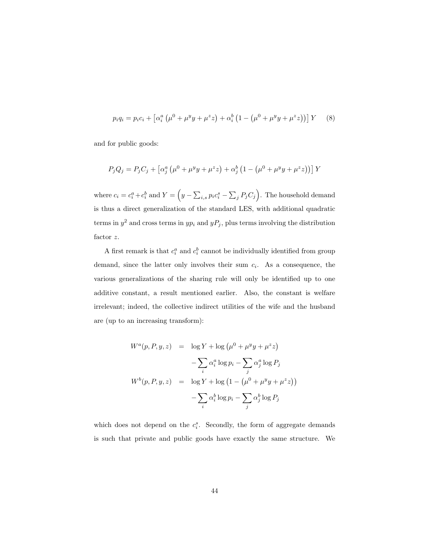$$
p_i q_i = p_i c_i + \left[ \alpha_i^a \left( \mu^0 + \mu^y y + \mu^z z \right) + \alpha_i^b \left( 1 - \left( \mu^0 + \mu^y y + \mu^z z \right) \right) \right] Y \tag{8}
$$

and for public goods:

$$
P_j Q_j = P_j C_j + \left[ \alpha_j^a \left( \mu^0 + \mu^y y + \mu^z z \right) + \alpha_j^b \left( 1 - \left( \mu^0 + \mu^y y + \mu^z z \right) \right) \right] Y
$$

where  $c_i = c_i^a + c_i^b$  and  $Y = \left(y - \sum_{i,s} p_i c_i^s - \sum_j P_j C_j\right)$ . The household demand is thus a direct generalization of the standard LES, with additional quadratic terms in  $y^2$  and cross terms in  $yp_i$  and  $yP_j$ , plus terms involving the distribution factor z.

A first remark is that  $c_i^a$  and  $c_i^b$  cannot be individually identified from group demand, since the latter only involves their sum  $c_i$ . As a consequence, the various generalizations of the sharing rule will only be identified up to one additive constant, a result mentioned earlier. Also, the constant is welfare irrelevant; indeed, the collective indirect utilities of the wife and the husband are (up to an increasing transform):

$$
W^{a}(p, P, y, z) = \log Y + \log (\mu^{0} + \mu^{y} y + \mu^{z} z)
$$

$$
- \sum_{i} \alpha_{i}^{a} \log p_{i} - \sum_{j} \alpha_{j}^{a} \log P_{j}
$$

$$
W^{b}(p, P, y, z) = \log Y + \log (1 - (\mu^{0} + \mu^{y} y + \mu^{z} z))
$$

$$
- \sum_{i} \alpha_{i}^{b} \log p_{i} - \sum_{j} \alpha_{j}^{b} \log P_{j}
$$

which does not depend on the  $c_i^s$ . Secondly, the form of aggregate demands is such that private and public goods have exactly the same structure. We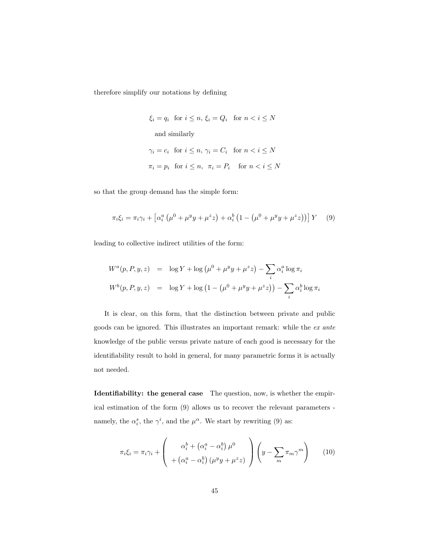therefore simplify our notations by defining

$$
\xi_i = q_i \text{ for } i \leq n, \, \xi_i = Q_i \text{ for } n < i \leq N
$$
\nand similarly

\n
$$
\gamma_i = c_i \text{ for } i \leq n, \, \gamma_i = C_i \text{ for } n < i \leq N
$$
\n
$$
\pi_i = p_i \text{ for } i \leq n, \, \pi_i = P_i \text{ for } n < i \leq N
$$

so that the group demand has the simple form:

$$
\pi_i \xi_i = \pi_i \gamma_i + \left[ \alpha_i^a \left( \mu^0 + \mu^y y + \mu^z z \right) + \alpha_i^b \left( 1 - \left( \mu^0 + \mu^y y + \mu^z z \right) \right) \right] Y \tag{9}
$$

leading to collective indirect utilities of the form:

$$
W^{a}(p, P, y, z) = \log Y + \log \left(\mu^{0} + \mu^{y} y + \mu^{z} z\right) - \sum_{i} \alpha_{i}^{a} \log \pi_{i}
$$
  

$$
W^{b}(p, P, y, z) = \log Y + \log \left(1 - \left(\mu^{0} + \mu^{y} y + \mu^{z} z\right)\right) - \sum_{i} \alpha_{i}^{b} \log \pi_{i}
$$

It is clear, on this form, that the distinction between private and public goods can be ignored. This illustrates an important remark: while the ex ante knowledge of the public versus private nature of each good is necessary for the identifiability result to hold in general, for many parametric forms it is actually not needed.

Identifiability: the general case The question, now, is whether the empirical estimation of the form (9) allows us to recover the relevant parameters namely, the  $\alpha_i^s$ , the  $\gamma^i$ , and the  $\mu^\alpha$ . We start by rewriting (9) as:

$$
\pi_i \xi_i = \pi_i \gamma_i + \left( \alpha_i^b + \left( \alpha_i^a - \alpha_i^b \right) \mu^0 + \left( \alpha_i^a - \alpha_i^b \right) \left( \mu^y + \mu^z z \right) \right) \left( y - \sum_m \pi_m \gamma^m \right) \tag{10}
$$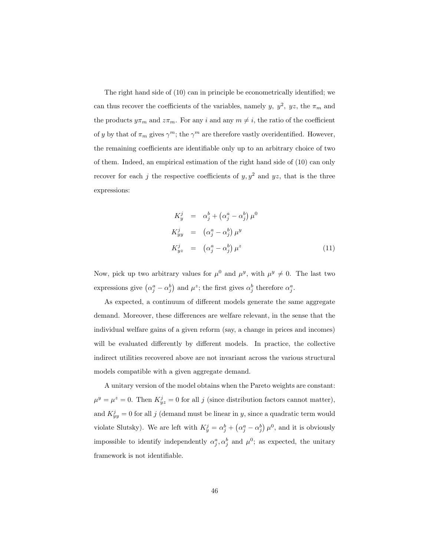The right hand side of (10) can in principle be econometrically identified; we can thus recover the coefficients of the variables, namely y,  $y^2$ ,  $yz$ , the  $\pi_m$  and the products  $y\pi_m$  and  $z\pi_m$ . For any i and any  $m \neq i$ , the ratio of the coefficient of y by that of  $\pi_m$  gives  $\gamma^m$ ; the  $\gamma^m$  are therefore vastly overidentified. However, the remaining coefficients are identifiable only up to an arbitrary choice of two of them. Indeed, an empirical estimation of the right hand side of (10) can only recover for each j the respective coefficients of  $y, y^2$  and  $yz$ , that is the three expressions:

$$
K_y^j = \alpha_j^b + (\alpha_j^a - \alpha_j^b) \mu^0
$$
  
\n
$$
K_{yy}^j = (\alpha_j^a - \alpha_j^b) \mu^y
$$
  
\n
$$
K_{yz}^j = (\alpha_j^a - \alpha_j^b) \mu^z
$$
\n(11)

Now, pick up two arbitrary values for  $\mu^0$  and  $\mu^y$ , with  $\mu^y \neq 0$ . The last two expressions give  $(\alpha_j^a - \alpha_j^b)$  and  $\mu^z$ ; the first gives  $\alpha_j^b$  therefore  $\alpha_j^a$ .

As expected, a continuum of different models generate the same aggregate demand. Moreover, these differences are welfare relevant, in the sense that the individual welfare gains of a given reform (say, a change in prices and incomes) will be evaluated differently by different models. In practice, the collective indirect utilities recovered above are not invariant across the various structural models compatible with a given aggregate demand.

A unitary version of the model obtains when the Pareto weights are constant:  $\mu^y = \mu^z = 0$ . Then  $K_{yz}^j = 0$  for all j (since distribution factors cannot matter), and  $K_{yy}^j = 0$  for all j (demand must be linear in y, since a quadratic term would violate Slutsky). We are left with  $K_y^j = \alpha_j^b + (\alpha_j^a - \alpha_j^b) \mu^0$ , and it is obviously impossible to identify independently  $\alpha_j^a, \alpha_j^b$  and  $\mu^0$ ; as expected, the unitary framework is not identifiable.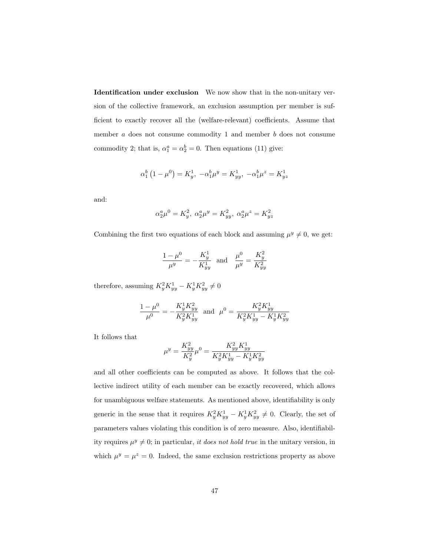Identification under exclusion We now show that in the non-unitary version of the collective framework, an exclusion assumption per member is sufficient to exactly recover all the (welfare-relevant) coefficients. Assume that member  $a$  does not consume commodity 1 and member  $b$  does not consume commodity 2; that is,  $\alpha_1^a = \alpha_2^b = 0$ . Then equations (11) give:

$$
\alpha_1^b \left( 1 - \mu^0 \right) = K_y^1, \ -\alpha_1^b \mu^y = K_{yy}^1, \ -\alpha_1^b \mu^z = K_{yz}^1
$$

and:

$$
\alpha_2^a \mu^0 = K_y^2, \; \alpha_2^a \mu^y = K_{yy}^2, \; \alpha_2^a \mu^z = K_{yz}^2
$$

Combining the first two equations of each block and assuming  $\mu^y \neq 0$ , we get:

$$
\frac{1-\mu^0}{\mu^y} = -\frac{K_y^1}{K_{yy}^1} \text{ and } \frac{\mu^0}{\mu^y} = \frac{K_y^2}{K_{yy}^2}
$$

therefore, assuming  $K_y^2 K_{yy}^1 - K_y^1 K_{yy}^2 \neq 0$ 

$$
\frac{1 - \mu^0}{\mu^0} = -\frac{K_y^1 K_{yy}^2}{K_y^2 K_{yy}^1} \text{ and } \mu^0 = \frac{K_y^2 K_{yy}^1}{K_y^2 K_{yy}^1 - K_y^1 K_{yy}^2}
$$

It follows that

$$
\mu^{y} = \frac{K_{yy}^{2}}{K_{y}^{2}} \mu^{0} = \frac{K_{yy}^{2} K_{yy}^{1}}{K_{y}^{2} K_{yy}^{1} - K_{y}^{1} K_{yy}^{2}}
$$

and all other coefficients can be computed as above. It follows that the collective indirect utility of each member can be exactly recovered, which allows for unambiguous welfare statements. As mentioned above, identifiability is only generic in the sense that it requires  $K_y^2 K_{yy}^1 - K_y^1 K_{yy}^2 \neq 0$ . Clearly, the set of parameters values violating this condition is of zero measure. Also, identifiability requires  $\mu^y \neq 0$ ; in particular, it does not hold true in the unitary version, in which  $\mu^y = \mu^z = 0$ . Indeed, the same exclusion restrictions property as above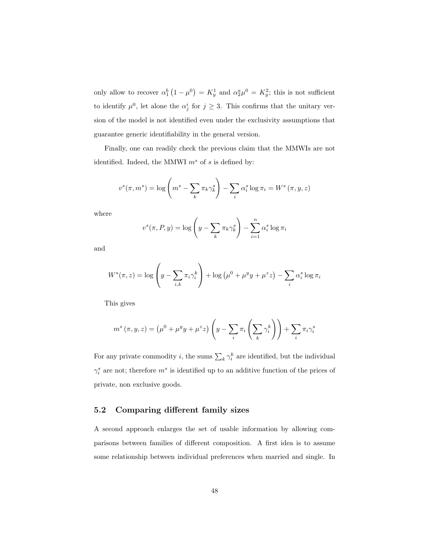only allow to recover  $\alpha_1^b(1-\mu^0) = K_y^1$  and  $\alpha_2^a \mu^0 = K_y^2$ ; this is not sufficient to identify  $\mu^0$ , let alone the  $\alpha_j^i$  for  $j \geq 3$ . This confirms that the unitary version of the model is not identified even under the exclusivity assumptions that guarantee generic identifiability in the general version.

Finally, one can readily check the previous claim that the MMWIs are not identified. Indeed, the MMWI  $m<sup>s</sup>$  of s is defined by:

$$
v^{s}(\pi, m^{s}) = \log\left(m^{s} - \sum_{k} \pi_{k} \gamma_{k}^{s}\right) - \sum_{i} \alpha_{i}^{s} \log \pi_{i} = W^{s}(\pi, y, z)
$$

where

$$
v^{s}(\pi, P, y) = \log \left( y - \sum_{k} \pi_{k} \gamma_{k}^{s} \right) - \sum_{i=1}^{n} \alpha_{i}^{s} \log \pi_{i}
$$

and

$$
W^{s}(\pi, z) = \log \left( y - \sum_{i,k} \pi_i \gamma_i^k \right) + \log \left( \mu^0 + \mu^y y + \mu^z z \right) - \sum_{i} \alpha_i^s \log \pi_i
$$

This gives

$$
m^{s}(\pi, y, z) = (\mu^{0} + \mu^{y} y + \mu^{z} z) \left( y - \sum_{i} \pi_{i} \left( \sum_{k} \gamma_{i}^{k} \right) \right) + \sum_{i} \pi_{i} \gamma_{i}^{s}
$$

For any private commodity *i*, the sums  $\sum_{k} \gamma_i^k$  are identified, but the individual  $\gamma_i^s$  are not; therefore  $m^s$  is identified up to an additive function of the prices of private, non exclusive goods.

# 5.2 Comparing different family sizes

A second approach enlarges the set of usable information by allowing comparisons between families of different composition. A first idea is to assume some relationship between individual preferences when married and single. In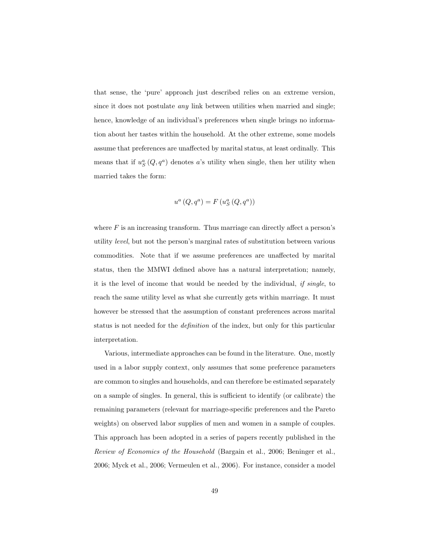that sense, the 'pure' approach just described relies on an extreme version, since it does not postulate any link between utilities when married and single; hence, knowledge of an individual's preferences when single brings no information about her tastes within the household. At the other extreme, some models assume that preferences are unaffected by marital status, at least ordinally. This means that if  $u_S^a(Q, q^a)$  denotes a's utility when single, then her utility when married takes the form:

$$
u^{a}\left(Q,q^{a}\right)=F\left(u_{S}^{a}\left(Q,q^{a}\right)\right)
$$

where  $F$  is an increasing transform. Thus marriage can directly affect a person's utility level, but not the person's marginal rates of substitution between various commodities. Note that if we assume preferences are unaffected by marital status, then the MMWI defined above has a natural interpretation; namely, it is the level of income that would be needed by the individual, if single, to reach the same utility level as what she currently gets within marriage. It must however be stressed that the assumption of constant preferences across marital status is not needed for the definition of the index, but only for this particular interpretation.

Various, intermediate approaches can be found in the literature. One, mostly used in a labor supply context, only assumes that some preference parameters are common to singles and households, and can therefore be estimated separately on a sample of singles. In general, this is sufficient to identify (or calibrate) the remaining parameters (relevant for marriage-specific preferences and the Pareto weights) on observed labor supplies of men and women in a sample of couples. This approach has been adopted in a series of papers recently published in the Review of Economics of the Household (Bargain et al., 2006; Beninger et al., 2006; Myck et al., 2006; Vermeulen et al., 2006). For instance, consider a model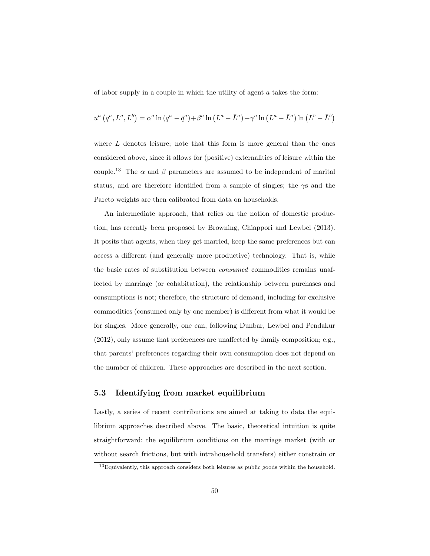of labor supply in a couple in which the utility of agent  $a$  takes the form:

$$
u^{a} (q^{a}, L^{a}, L^{b}) = \alpha^{a} \ln (q^{a} - \bar{q}^{a}) + \beta^{a} \ln (L^{a} - \bar{L}^{a}) + \gamma^{a} \ln (L^{a} - \bar{L}^{a}) \ln (L^{b} - \bar{L}^{b})
$$

where  $L$  denotes leisure; note that this form is more general than the ones considered above, since it allows for (positive) externalities of leisure within the couple.<sup>13</sup> The  $\alpha$  and  $\beta$  parameters are assumed to be independent of marital status, and are therefore identified from a sample of singles; the  $\gamma s$  and the Pareto weights are then calibrated from data on households.

An intermediate approach, that relies on the notion of domestic production, has recently been proposed by Browning, Chiappori and Lewbel (2013). It posits that agents, when they get married, keep the same preferences but can access a different (and generally more productive) technology. That is, while the basic rates of substitution between consumed commodities remains unaffected by marriage (or cohabitation), the relationship between purchases and consumptions is not; therefore, the structure of demand, including for exclusive commodities (consumed only by one member) is different from what it would be for singles. More generally, one can, following Dunbar, Lewbel and Pendakur (2012), only assume that preferences are unaffected by family composition; e.g., that parents' preferences regarding their own consumption does not depend on the number of children. These approaches are described in the next section.

## 5.3 Identifying from market equilibrium

Lastly, a series of recent contributions are aimed at taking to data the equilibrium approaches described above. The basic, theoretical intuition is quite straightforward: the equilibrium conditions on the marriage market (with or without search frictions, but with intrahousehold transfers) either constrain or

<sup>&</sup>lt;sup>13</sup>Equivalently, this approach considers both leisures as public goods within the household.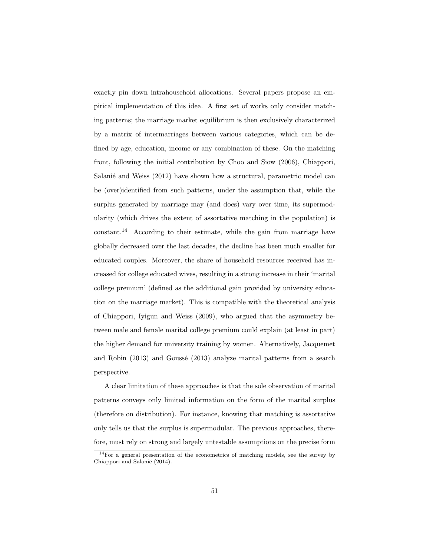exactly pin down intrahousehold allocations. Several papers propose an empirical implementation of this idea. A first set of works only consider matching patterns; the marriage market equilibrium is then exclusively characterized by a matrix of intermarriages between various categories, which can be defined by age, education, income or any combination of these. On the matching front, following the initial contribution by Choo and Siow (2006), Chiappori, Salanié and Weiss  $(2012)$  have shown how a structural, parametric model can be (over)identified from such patterns, under the assumption that, while the surplus generated by marriage may (and does) vary over time, its supermodularity (which drives the extent of assortative matching in the population) is constant.<sup>14</sup> According to their estimate, while the gain from marriage have globally decreased over the last decades, the decline has been much smaller for educated couples. Moreover, the share of household resources received has increased for college educated wives, resulting in a strong increase in their 'marital college premium' (defined as the additional gain provided by university education on the marriage market). This is compatible with the theoretical analysis of Chiappori, Iyigun and Weiss (2009), who argued that the asymmetry between male and female marital college premium could explain (at least in part) the higher demand for university training by women. Alternatively, Jacquemet and Robin  $(2013)$  and Goussé  $(2013)$  analyze marital patterns from a search perspective.

A clear limitation of these approaches is that the sole observation of marital patterns conveys only limited information on the form of the marital surplus (therefore on distribution). For instance, knowing that matching is assortative only tells us that the surplus is supermodular. The previous approaches, therefore, must rely on strong and largely untestable assumptions on the precise form

<sup>14</sup>For a general presentation of the econometrics of matching models, see the survey by Chiappori and Salanié (2014).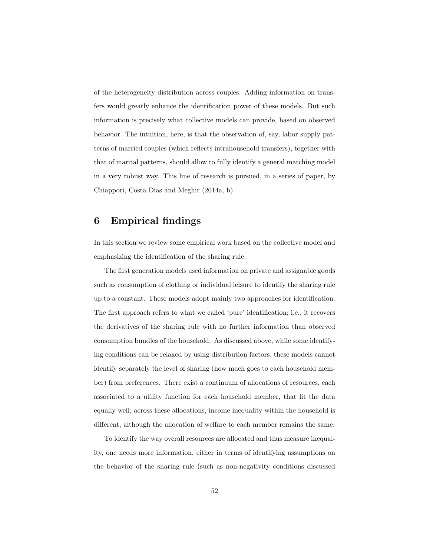of the heterogeneity distribution across couples. Adding information on transfers would greatly enhance the identification power of these models. But such information is precisely what collective models can provide, based on observed behavior. The intuition, here, is that the observation of, say, labor supply patterns of married couples (which reflects intrahousehold transfers), together with that of marital patterns, should allow to fully identify a general matching model in a very robust way. This line of research is pursued, in a series of paper, by Chiappori, Costa Dias and Meghir (2014a, b).

# 6 Empirical findings

In this section we review some empirical work based on the collective model and emphasizing the identification of the sharing rule.

The first generation models used information on private and assignable goods such as consumption of clothing or individual leisure to identify the sharing rule up to a constant. These models adopt mainly two approaches for identification. The first approach refers to what we called 'pure' identification; i.e., it recovers the derivatives of the sharing rule with no further information than observed consumption bundles of the household. As discussed above, while some identifying conditions can be relaxed by using distribution factors, these models cannot identify separately the level of sharing (how much goes to each household member) from preferences. There exist a continuum of allocations of resources, each associated to a utility function for each household member, that fit the data equally well; across these allocations, income inequality within the household is different, although the allocation of welfare to each member remains the same.

To identify the way overall resources are allocated and thus measure inequality, one needs more information, either in terms of identifying assumptions on the behavior of the sharing rule (such as non-negativity conditions discussed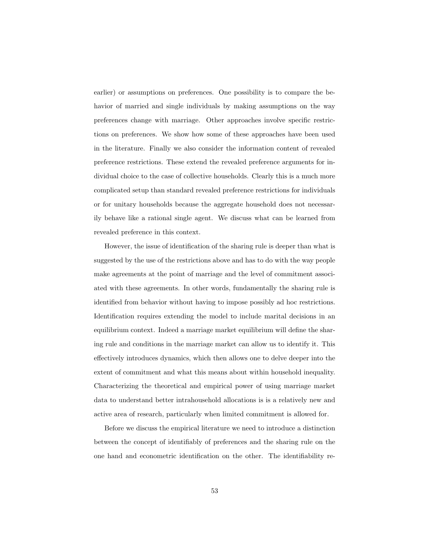earlier) or assumptions on preferences. One possibility is to compare the behavior of married and single individuals by making assumptions on the way preferences change with marriage. Other approaches involve specific restrictions on preferences. We show how some of these approaches have been used in the literature. Finally we also consider the information content of revealed preference restrictions. These extend the revealed preference arguments for individual choice to the case of collective households. Clearly this is a much more complicated setup than standard revealed preference restrictions for individuals or for unitary households because the aggregate household does not necessarily behave like a rational single agent. We discuss what can be learned from revealed preference in this context.

However, the issue of identification of the sharing rule is deeper than what is suggested by the use of the restrictions above and has to do with the way people make agreements at the point of marriage and the level of commitment associated with these agreements. In other words, fundamentally the sharing rule is identified from behavior without having to impose possibly ad hoc restrictions. Identification requires extending the model to include marital decisions in an equilibrium context. Indeed a marriage market equilibrium will define the sharing rule and conditions in the marriage market can allow us to identify it. This effectively introduces dynamics, which then allows one to delve deeper into the extent of commitment and what this means about within household inequality. Characterizing the theoretical and empirical power of using marriage market data to understand better intrahousehold allocations is is a relatively new and active area of research, particularly when limited commitment is allowed for.

Before we discuss the empirical literature we need to introduce a distinction between the concept of identifiably of preferences and the sharing rule on the one hand and econometric identification on the other. The identifiability re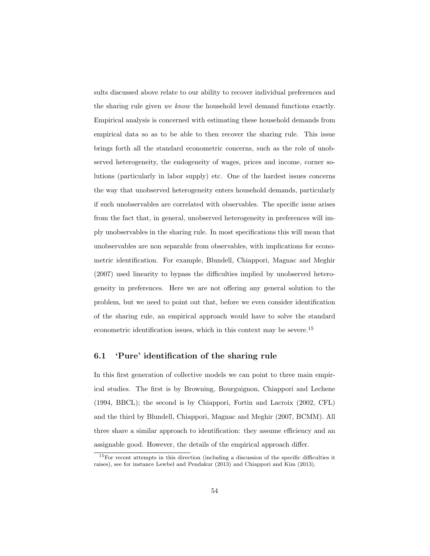sults discussed above relate to our ability to recover individual preferences and the sharing rule given we know the household level demand functions exactly. Empirical analysis is concerned with estimating these household demands from empirical data so as to be able to then recover the sharing rule. This issue brings forth all the standard econometric concerns, such as the role of unobserved heterogeneity, the endogeneity of wages, prices and income, corner solutions (particularly in labor supply) etc. One of the hardest issues concerns the way that unobserved heterogeneity enters household demands, particularly if such unobservables are correlated with observables. The specific issue arises from the fact that, in general, unobserved heterogeneity in preferences will imply unobservables in the sharing rule. In most specifications this will mean that unobservables are non separable from observables, with implications for econometric identification. For example, Blundell, Chiappori, Magnac and Meghir (2007) used linearity to bypass the difficulties implied by unobserved heterogeneity in preferences. Here we are not offering any general solution to the problem, but we need to point out that, before we even consider identification of the sharing rule, an empirical approach would have to solve the standard econometric identification issues, which in this context may be severe.<sup>15</sup>

### 6.1 'Pure' identification of the sharing rule

In this first generation of collective models we can point to three main empirical studies. The first is by Browning, Bourguignon, Chiappori and Lechene (1994, BBCL); the second is by Chiappori, Fortin and Lacroix (2002, CFL) and the third by Blundell, Chiappori, Magnac and Meghir (2007, BCMM). All three share a similar approach to identification: they assume efficiency and an assignable good. However, the details of the empirical approach differ.

<sup>&</sup>lt;sup>15</sup>For recent attempts in this direction (including a discussion of the specific difficulties it raises), see for instance Lewbel and Pendakur (2013) and Chiappori and Kim (2013).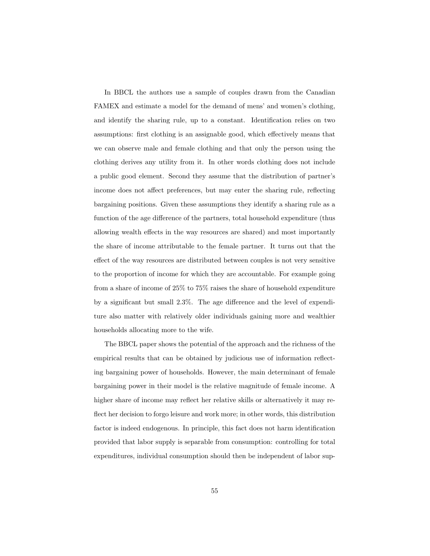In BBCL the authors use a sample of couples drawn from the Canadian FAMEX and estimate a model for the demand of mens' and women's clothing, and identify the sharing rule, up to a constant. Identification relies on two assumptions: first clothing is an assignable good, which effectively means that we can observe male and female clothing and that only the person using the clothing derives any utility from it. In other words clothing does not include a public good element. Second they assume that the distribution of partner's income does not affect preferences, but may enter the sharing rule, reflecting bargaining positions. Given these assumptions they identify a sharing rule as a function of the age difference of the partners, total household expenditure (thus allowing wealth effects in the way resources are shared) and most importantly the share of income attributable to the female partner. It turns out that the effect of the way resources are distributed between couples is not very sensitive to the proportion of income for which they are accountable. For example going from a share of income of 25% to 75% raises the share of household expenditure by a significant but small 2.3%. The age difference and the level of expenditure also matter with relatively older individuals gaining more and wealthier households allocating more to the wife.

The BBCL paper shows the potential of the approach and the richness of the empirical results that can be obtained by judicious use of information reflecting bargaining power of households. However, the main determinant of female bargaining power in their model is the relative magnitude of female income. A higher share of income may reflect her relative skills or alternatively it may reflect her decision to forgo leisure and work more; in other words, this distribution factor is indeed endogenous. In principle, this fact does not harm identification provided that labor supply is separable from consumption: controlling for total expenditures, individual consumption should then be independent of labor sup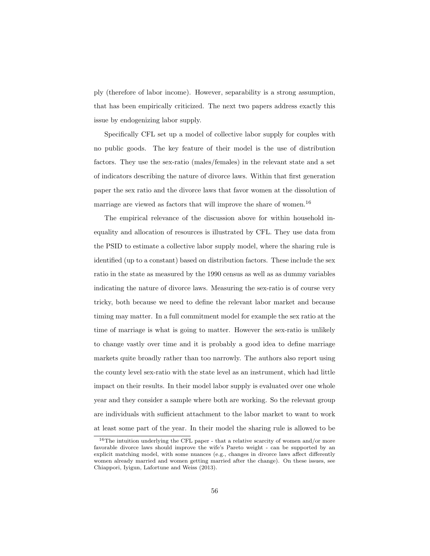ply (therefore of labor income). However, separability is a strong assumption, that has been empirically criticized. The next two papers address exactly this issue by endogenizing labor supply.

Specifically CFL set up a model of collective labor supply for couples with no public goods. The key feature of their model is the use of distribution factors. They use the sex-ratio (males/females) in the relevant state and a set of indicators describing the nature of divorce laws. Within that first generation paper the sex ratio and the divorce laws that favor women at the dissolution of marriage are viewed as factors that will improve the share of women.<sup>16</sup>

The empirical relevance of the discussion above for within household inequality and allocation of resources is illustrated by CFL. They use data from the PSID to estimate a collective labor supply model, where the sharing rule is identified (up to a constant) based on distribution factors. These include the sex ratio in the state as measured by the 1990 census as well as as dummy variables indicating the nature of divorce laws. Measuring the sex-ratio is of course very tricky, both because we need to define the relevant labor market and because timing may matter. In a full commitment model for example the sex ratio at the time of marriage is what is going to matter. However the sex-ratio is unlikely to change vastly over time and it is probably a good idea to define marriage markets quite broadly rather than too narrowly. The authors also report using the county level sex-ratio with the state level as an instrument, which had little impact on their results. In their model labor supply is evaluated over one whole year and they consider a sample where both are working. So the relevant group are individuals with sufficient attachment to the labor market to want to work at least some part of the year. In their model the sharing rule is allowed to be

 $16$ The intuition underlying the CFL paper - that a relative scarcity of women and/or more favorable divorce laws should improve the wife's Pareto weight - can be supported by an explicit matching model, with some nuances (e.g., changes in divorce laws affect differently women already married and women getting married after the change). On these issues, see Chiappori, Iyigun, Lafortune and Weiss (2013).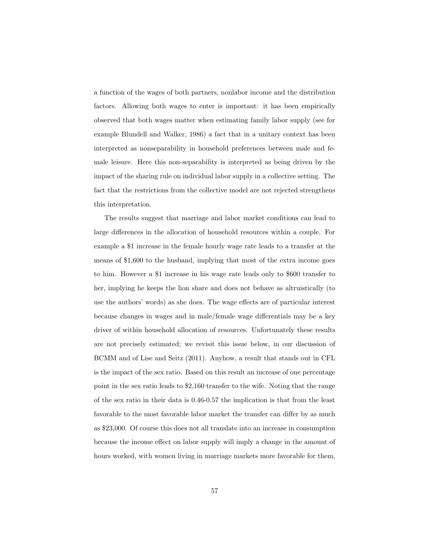a function of the wages of both partners, nonlabor income and the distribution factors. Allowing both wages to enter is important: it has been empirically observed that both wages matter when estimating family labor supply (see for example Blundell and Walker, 1986) a fact that in a unitary context has been interpreted as nonseparability in household preferences between male and female leisure. Here this non-separability is interpreted as being driven by the impact of the sharing rule on individual labor supply in a collective setting. The fact that the restrictions from the collective model are not rejected strengthens this interpretation.

The results suggest that marriage and labor market conditions can lead to large differences in the allocation of household resources within a couple. For example a \$1 increase in the female hourly wage rate leads to a transfer at the means of \$1,600 to the husband, implying that most of the extra income goes to him. However a \$1 increase in his wage rate leads only to \$600 transfer to her, implying he keeps the lion share and does not behave as altruistically (to use the authors' words) as she does. The wage effects are of particular interest because changes in wages and in male/female wage differentials may be a key driver of within household allocation of resources. Unfortunately these results are not precisely estimated; we revisit this issue below, in our discussion of BCMM and of Lise and Seitz (2011). Anyhow, a result that stands out in CFL is the impact of the sex ratio. Based on this result an increase of one percentage point in the sex ratio leads to \$2,160 transfer to the wife. Noting that the range of the sex ratio in their data is 0.46-0.57 the implication is that from the least favorable to the most favorable labor market the transfer can differ by as much as \$23,000. Of course this does not all translate into an increase in consumption because the income effect on labor supply will imply a change in the amount of hours worked, with women living in marriage markets more favorable for them,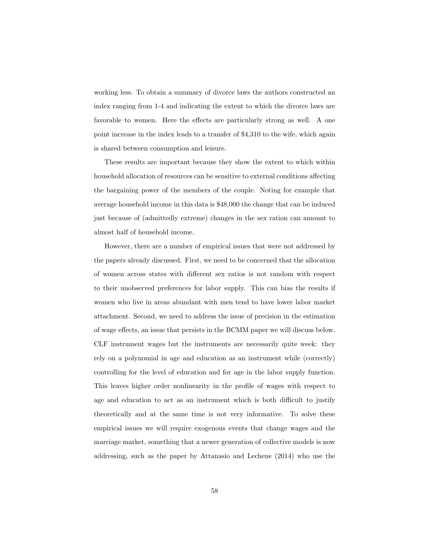working less. To obtain a summary of divorce laws the authors constructed an index ranging from 1-4 and indicating the extent to which the divorce laws are favorable to women. Here the effects are particularly strong as well. A one point increase in the index leads to a transfer of \$4,310 to the wife, which again is shared between consumption and leisure.

These results are important because they show the extent to which within household allocation of resources can be sensitive to external conditions affecting the bargaining power of the members of the couple. Noting for example that average household income in this data is \$48,000 the change that can be induced just because of (admittedly extreme) changes in the sex ration can amount to almost half of household income.

However, there are a number of empirical issues that were not addressed by the papers already discussed. First, we need to be concerned that the allocation of women across states with different sex ratios is not random with respect to their unobserved preferences for labor supply. This can bias the results if women who live in areas abundant with men tend to have lower labor market attachment. Second, we need to address the issue of precision in the estimation of wage effects, an issue that persists in the BCMM paper we will discuss below. CLF instrument wages but the instruments are necessarily quite week: they rely on a polynomial in age and education as an instrument while (correctly) controlling for the level of education and for age in the labor supply function. This leaves higher order nonlinearity in the profile of wages with respect to age and education to act as an instrument which is both difficult to justify theoretically and at the same time is not very informative. To solve these empirical issues we will require exogenous events that change wages and the marriage market, something that a newer generation of collective models is now addressing, such as the paper by Attanasio and Lechene (2014) who use the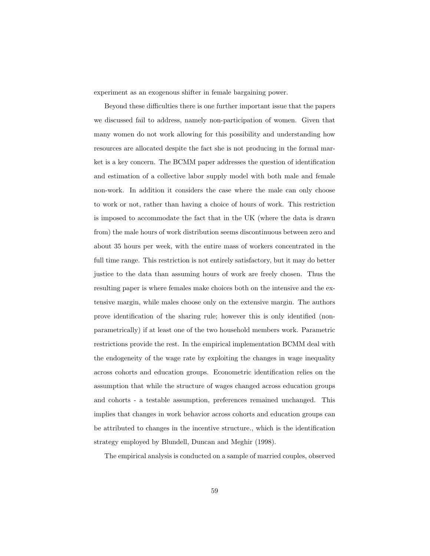experiment as an exogenous shifter in female bargaining power.

Beyond these difficulties there is one further important issue that the papers we discussed fail to address, namely non-participation of women. Given that many women do not work allowing for this possibility and understanding how resources are allocated despite the fact she is not producing in the formal market is a key concern. The BCMM paper addresses the question of identification and estimation of a collective labor supply model with both male and female non-work. In addition it considers the case where the male can only choose to work or not, rather than having a choice of hours of work. This restriction is imposed to accommodate the fact that in the UK (where the data is drawn from) the male hours of work distribution seems discontinuous between zero and about 35 hours per week, with the entire mass of workers concentrated in the full time range. This restriction is not entirely satisfactory, but it may do better justice to the data than assuming hours of work are freely chosen. Thus the resulting paper is where females make choices both on the intensive and the extensive margin, while males choose only on the extensive margin. The authors prove identification of the sharing rule; however this is only identified (nonparametrically) if at least one of the two household members work. Parametric restrictions provide the rest. In the empirical implementation BCMM deal with the endogeneity of the wage rate by exploiting the changes in wage inequality across cohorts and education groups. Econometric identification relies on the assumption that while the structure of wages changed across education groups and cohorts - a testable assumption, preferences remained unchanged. This implies that changes in work behavior across cohorts and education groups can be attributed to changes in the incentive structure., which is the identification strategy employed by Blundell, Duncan and Meghir (1998).

The empirical analysis is conducted on a sample of married couples, observed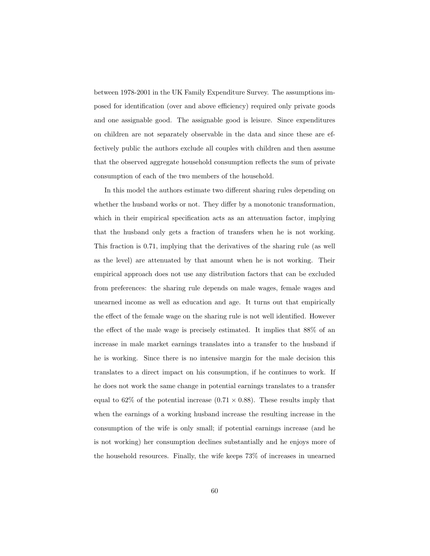between 1978-2001 in the UK Family Expenditure Survey. The assumptions imposed for identification (over and above efficiency) required only private goods and one assignable good. The assignable good is leisure. Since expenditures on children are not separately observable in the data and since these are effectively public the authors exclude all couples with children and then assume that the observed aggregate household consumption reflects the sum of private consumption of each of the two members of the household.

In this model the authors estimate two different sharing rules depending on whether the husband works or not. They differ by a monotonic transformation, which in their empirical specification acts as an attenuation factor, implying that the husband only gets a fraction of transfers when he is not working. This fraction is 0.71, implying that the derivatives of the sharing rule (as well as the level) are attenuated by that amount when he is not working. Their empirical approach does not use any distribution factors that can be excluded from preferences: the sharing rule depends on male wages, female wages and unearned income as well as education and age. It turns out that empirically the effect of the female wage on the sharing rule is not well identified. However the effect of the male wage is precisely estimated. It implies that 88% of an increase in male market earnings translates into a transfer to the husband if he is working. Since there is no intensive margin for the male decision this translates to a direct impact on his consumption, if he continues to work. If he does not work the same change in potential earnings translates to a transfer equal to 62% of the potential increase  $(0.71 \times 0.88)$ . These results imply that when the earnings of a working husband increase the resulting increase in the consumption of the wife is only small; if potential earnings increase (and he is not working) her consumption declines substantially and he enjoys more of the household resources. Finally, the wife keeps 73% of increases in unearned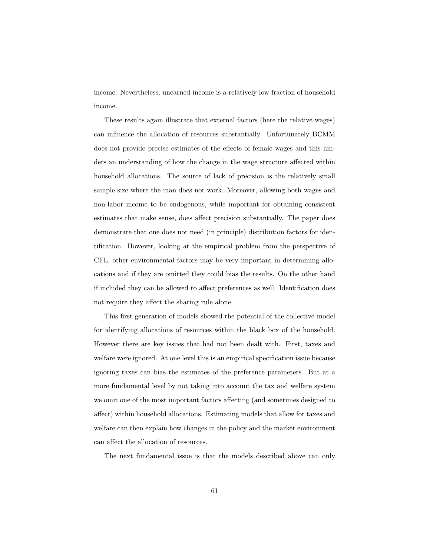income. Nevertheless, unearned income is a relatively low fraction of household income.

These results again illustrate that external factors (here the relative wages) can influence the allocation of resources substantially. Unfortunately BCMM does not provide precise estimates of the effects of female wages and this hinders an understanding of how the change in the wage structure affected within household allocations. The source of lack of precision is the relatively small sample size where the man does not work. Moreover, allowing both wages and non-labor income to be endogenous, while important for obtaining consistent estimates that make sense, does affect precision substantially. The paper does demonstrate that one does not need (in principle) distribution factors for identification. However, looking at the empirical problem from the perspective of CFL, other environmental factors may be very important in determining allocations and if they are omitted they could bias the results. On the other hand if included they can be allowed to affect preferences as well. Identification does not require they affect the sharing rule alone.

This first generation of models showed the potential of the collective model for identifying allocations of resources within the black box of the household. However there are key issues that had not been dealt with. First, taxes and welfare were ignored. At one level this is an empirical specification issue because ignoring taxes can bias the estimates of the preference parameters. But at a more fundamental level by not taking into account the tax and welfare system we omit one of the most important factors affecting (and sometimes designed to affect) within household allocations. Estimating models that allow for taxes and welfare can then explain how changes in the policy and the market environment can affect the allocation of resources.

The next fundamental issue is that the models described above can only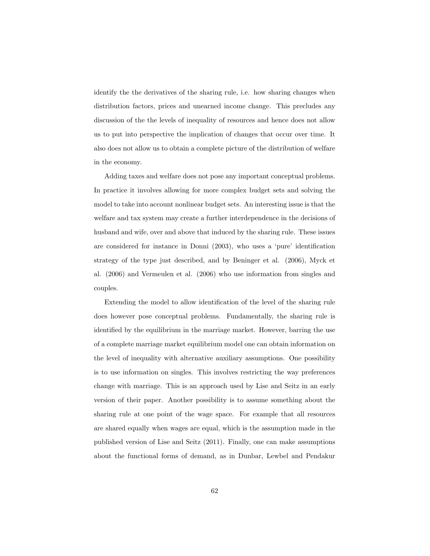identify the the derivatives of the sharing rule, i.e. how sharing changes when distribution factors, prices and unearned income change. This precludes any discussion of the the levels of inequality of resources and hence does not allow us to put into perspective the implication of changes that occur over time. It also does not allow us to obtain a complete picture of the distribution of welfare in the economy.

Adding taxes and welfare does not pose any important conceptual problems. In practice it involves allowing for more complex budget sets and solving the model to take into account nonlinear budget sets. An interesting issue is that the welfare and tax system may create a further interdependence in the decisions of husband and wife, over and above that induced by the sharing rule. These issues are considered for instance in Donni (2003), who uses a 'pure' identification strategy of the type just described, and by Beninger et al. (2006), Myck et al. (2006) and Vermeulen et al. (2006) who use information from singles and couples.

Extending the model to allow identification of the level of the sharing rule does however pose conceptual problems. Fundamentally, the sharing rule is identified by the equilibrium in the marriage market. However, barring the use of a complete marriage market equilibrium model one can obtain information on the level of inequality with alternative auxiliary assumptions. One possibility is to use information on singles. This involves restricting the way preferences change with marriage. This is an approach used by Lise and Seitz in an early version of their paper. Another possibility is to assume something about the sharing rule at one point of the wage space. For example that all resources are shared equally when wages are equal, which is the assumption made in the published version of Lise and Seitz (2011). Finally, one can make assumptions about the functional forms of demand, as in Dunbar, Lewbel and Pendakur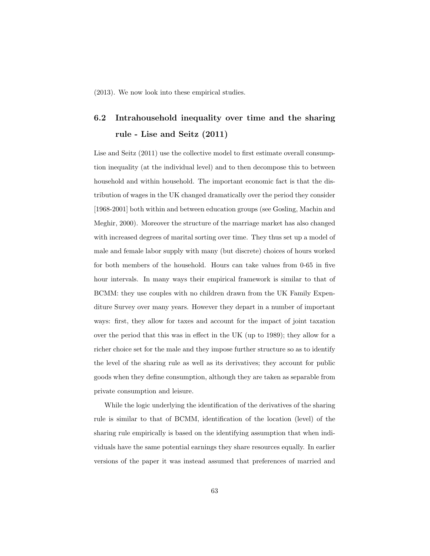(2013). We now look into these empirical studies.

# 6.2 Intrahousehold inequality over time and the sharing rule - Lise and Seitz (2011)

Lise and Seitz (2011) use the collective model to first estimate overall consumption inequality (at the individual level) and to then decompose this to between household and within household. The important economic fact is that the distribution of wages in the UK changed dramatically over the period they consider [1968-2001] both within and between education groups (see Gosling, Machin and Meghir, 2000). Moreover the structure of the marriage market has also changed with increased degrees of marital sorting over time. They thus set up a model of male and female labor supply with many (but discrete) choices of hours worked for both members of the household. Hours can take values from 0-65 in five hour intervals. In many ways their empirical framework is similar to that of BCMM: they use couples with no children drawn from the UK Family Expenditure Survey over many years. However they depart in a number of important ways: first, they allow for taxes and account for the impact of joint taxation over the period that this was in effect in the UK (up to 1989); they allow for a richer choice set for the male and they impose further structure so as to identify the level of the sharing rule as well as its derivatives; they account for public goods when they define consumption, although they are taken as separable from private consumption and leisure.

While the logic underlying the identification of the derivatives of the sharing rule is similar to that of BCMM, identification of the location (level) of the sharing rule empirically is based on the identifying assumption that when individuals have the same potential earnings they share resources equally. In earlier versions of the paper it was instead assumed that preferences of married and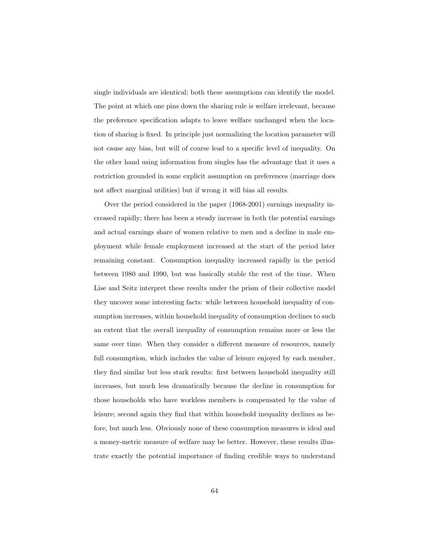single individuals are identical; both these assumptions can identify the model. The point at which one pins down the sharing rule is welfare irrelevant, because the preference specification adapts to leave welfare unchanged when the location of sharing is fixed. In principle just normalizing the location parameter will not cause any bias, but will of course lead to a specific level of inequality. On the other hand using information from singles has the advantage that it uses a restriction grounded in some explicit assumption on preferences (marriage does not affect marginal utilities) but if wrong it will bias all results.

Over the period considered in the paper (1968-2001) earnings inequality increased rapidly; there has been a steady increase in both the potential earnings and actual earnings share of women relative to men and a decline in male employment while female employment increased at the start of the period later remaining constant. Consumption inequality increased rapidly in the period between 1980 and 1990, but was basically stable the rest of the time. When Lise and Seitz interpret these results under the prism of their collective model they uncover some interesting facts: while between household inequality of consumption increases, within household inequality of consumption declines to such an extent that the overall inequality of consumption remains more or less the same over time. When they consider a different measure of resources, namely full consumption, which includes the value of leisure enjoyed by each member, they find similar but less stark results: first between household inequality still increases, but much less dramatically because the decline in consumption for those households who have workless members is compensated by the value of leisure; second again they find that within household inequality declines as before, but much less. Obviously none of these consumption measures is ideal and a money-metric measure of welfare may be better. However, these results illustrate exactly the potential importance of finding credible ways to understand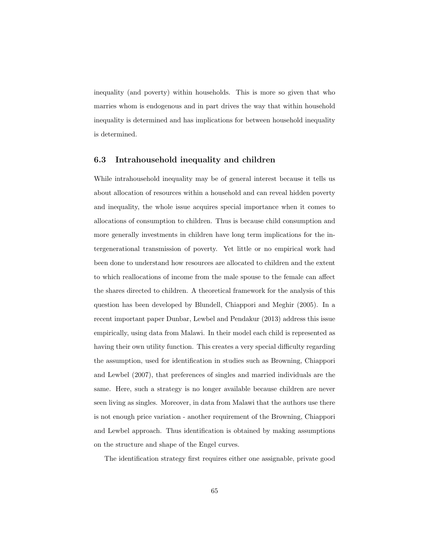inequality (and poverty) within households. This is more so given that who marries whom is endogenous and in part drives the way that within household inequality is determined and has implications for between household inequality is determined.

## 6.3 Intrahousehold inequality and children

While intrahousehold inequality may be of general interest because it tells us about allocation of resources within a household and can reveal hidden poverty and inequality, the whole issue acquires special importance when it comes to allocations of consumption to children. Thus is because child consumption and more generally investments in children have long term implications for the intergenerational transmission of poverty. Yet little or no empirical work had been done to understand how resources are allocated to children and the extent to which reallocations of income from the male spouse to the female can affect the shares directed to children. A theoretical framework for the analysis of this question has been developed by Blundell, Chiappori and Meghir (2005). In a recent important paper Dunbar, Lewbel and Pendakur (2013) address this issue empirically, using data from Malawi. In their model each child is represented as having their own utility function. This creates a very special difficulty regarding the assumption, used for identification in studies such as Browning, Chiappori and Lewbel (2007), that preferences of singles and married individuals are the same. Here, such a strategy is no longer available because children are never seen living as singles. Moreover, in data from Malawi that the authors use there is not enough price variation - another requirement of the Browning, Chiappori and Lewbel approach. Thus identification is obtained by making assumptions on the structure and shape of the Engel curves.

The identification strategy first requires either one assignable, private good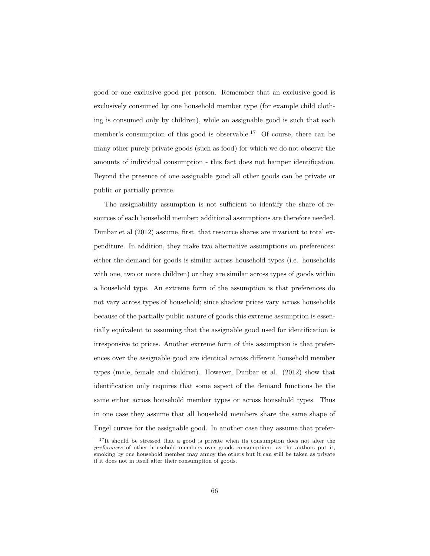good or one exclusive good per person. Remember that an exclusive good is exclusively consumed by one household member type (for example child clothing is consumed only by children), while an assignable good is such that each member's consumption of this good is observable.<sup>17</sup> Of course, there can be many other purely private goods (such as food) for which we do not observe the amounts of individual consumption - this fact does not hamper identification. Beyond the presence of one assignable good all other goods can be private or public or partially private.

The assignability assumption is not sufficient to identify the share of resources of each household member; additional assumptions are therefore needed. Dunbar et al (2012) assume, first, that resource shares are invariant to total expenditure. In addition, they make two alternative assumptions on preferences: either the demand for goods is similar across household types (i.e. households with one, two or more children) or they are similar across types of goods within a household type. An extreme form of the assumption is that preferences do not vary across types of household; since shadow prices vary across households because of the partially public nature of goods this extreme assumption is essentially equivalent to assuming that the assignable good used for identification is irresponsive to prices. Another extreme form of this assumption is that preferences over the assignable good are identical across different household member types (male, female and children). However, Dunbar et al. (2012) show that identification only requires that some aspect of the demand functions be the same either across household member types or across household types. Thus in one case they assume that all household members share the same shape of Engel curves for the assignable good. In another case they assume that prefer-

<sup>&</sup>lt;sup>17</sup>It should be stressed that a good is private when its consumption does not alter the preferences of other household members over goods consumption: as the authors put it, smoking by one household member may annoy the others but it can still be taken as private if it does not in itself alter their consumption of goods.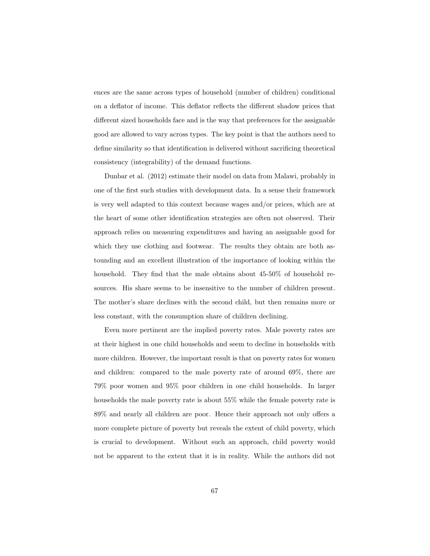ences are the same across types of household (number of children) conditional on a deflator of income. This deflator reflects the different shadow prices that different sized households face and is the way that preferences for the assignable good are allowed to vary across types. The key point is that the authors need to define similarity so that identification is delivered without sacrificing theoretical consistency (integrability) of the demand functions.

Dunbar et al. (2012) estimate their model on data from Malawi, probably in one of the first such studies with development data. In a sense their framework is very well adapted to this context because wages and/or prices, which are at the heart of some other identification strategies are often not observed. Their approach relies on measuring expenditures and having an assignable good for which they use clothing and footwear. The results they obtain are both astounding and an excellent illustration of the importance of looking within the household. They find that the male obtains about 45-50% of household resources. His share seems to be insensitive to the number of children present. The mother's share declines with the second child, but then remains more or less constant, with the consumption share of children declining.

Even more pertinent are the implied poverty rates. Male poverty rates are at their highest in one child households and seem to decline in households with more children. However, the important result is that on poverty rates for women and children: compared to the male poverty rate of around 69%, there are 79% poor women and 95% poor children in one child households. In larger households the male poverty rate is about 55% while the female poverty rate is 89% and nearly all children are poor. Hence their approach not only offers a more complete picture of poverty but reveals the extent of child poverty, which is crucial to development. Without such an approach, child poverty would not be apparent to the extent that it is in reality. While the authors did not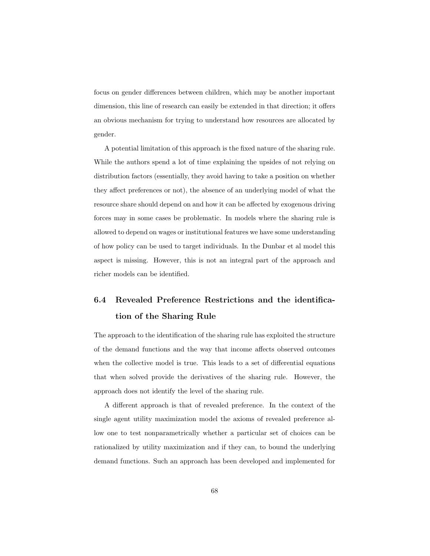focus on gender differences between children, which may be another important dimension, this line of research can easily be extended in that direction; it offers an obvious mechanism for trying to understand how resources are allocated by gender.

A potential limitation of this approach is the fixed nature of the sharing rule. While the authors spend a lot of time explaining the upsides of not relying on distribution factors (essentially, they avoid having to take a position on whether they affect preferences or not), the absence of an underlying model of what the resource share should depend on and how it can be affected by exogenous driving forces may in some cases be problematic. In models where the sharing rule is allowed to depend on wages or institutional features we have some understanding of how policy can be used to target individuals. In the Dunbar et al model this aspect is missing. However, this is not an integral part of the approach and richer models can be identified.

# 6.4 Revealed Preference Restrictions and the identification of the Sharing Rule

The approach to the identification of the sharing rule has exploited the structure of the demand functions and the way that income affects observed outcomes when the collective model is true. This leads to a set of differential equations that when solved provide the derivatives of the sharing rule. However, the approach does not identify the level of the sharing rule.

A different approach is that of revealed preference. In the context of the single agent utility maximization model the axioms of revealed preference allow one to test nonparametrically whether a particular set of choices can be rationalized by utility maximization and if they can, to bound the underlying demand functions. Such an approach has been developed and implemented for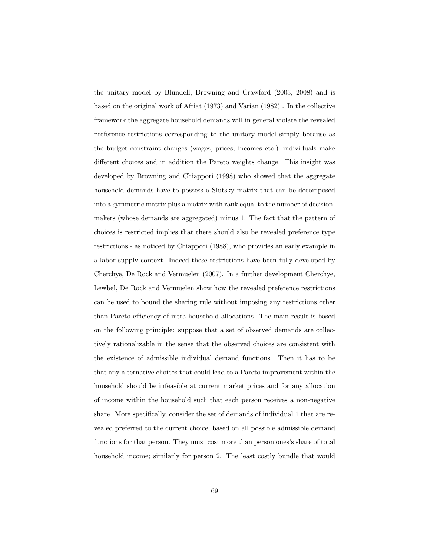the unitary model by Blundell, Browning and Crawford (2003, 2008) and is based on the original work of Afriat (1973) and Varian (1982) . In the collective framework the aggregate household demands will in general violate the revealed preference restrictions corresponding to the unitary model simply because as the budget constraint changes (wages, prices, incomes etc.) individuals make different choices and in addition the Pareto weights change. This insight was developed by Browning and Chiappori (1998) who showed that the aggregate household demands have to possess a Slutsky matrix that can be decomposed into a symmetric matrix plus a matrix with rank equal to the number of decisionmakers (whose demands are aggregated) minus 1. The fact that the pattern of choices is restricted implies that there should also be revealed preference type restrictions - as noticed by Chiappori (1988), who provides an early example in a labor supply context. Indeed these restrictions have been fully developed by Cherchye, De Rock and Vermuelen (2007). In a further development Cherchye, Lewbel, De Rock and Vermuelen show how the revealed preference restrictions can be used to bound the sharing rule without imposing any restrictions other than Pareto efficiency of intra household allocations. The main result is based on the following principle: suppose that a set of observed demands are collectively rationalizable in the sense that the observed choices are consistent with the existence of admissible individual demand functions. Then it has to be that any alternative choices that could lead to a Pareto improvement within the household should be infeasible at current market prices and for any allocation of income within the household such that each person receives a non-negative share. More specifically, consider the set of demands of individual 1 that are revealed preferred to the current choice, based on all possible admissible demand functions for that person. They must cost more than person ones's share of total household income; similarly for person 2. The least costly bundle that would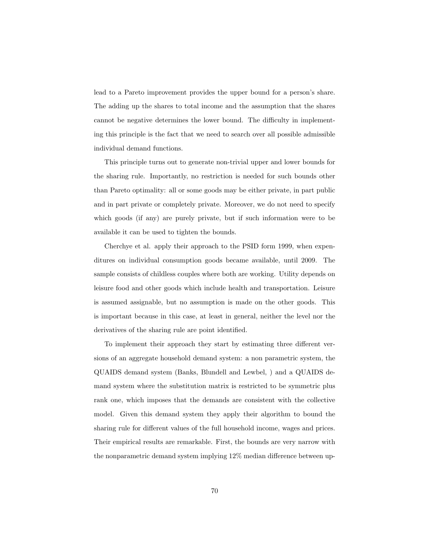lead to a Pareto improvement provides the upper bound for a person's share. The adding up the shares to total income and the assumption that the shares cannot be negative determines the lower bound. The difficulty in implementing this principle is the fact that we need to search over all possible admissible individual demand functions.

This principle turns out to generate non-trivial upper and lower bounds for the sharing rule. Importantly, no restriction is needed for such bounds other than Pareto optimality: all or some goods may be either private, in part public and in part private or completely private. Moreover, we do not need to specify which goods (if any) are purely private, but if such information were to be available it can be used to tighten the bounds.

Cherchye et al. apply their approach to the PSID form 1999, when expenditures on individual consumption goods became available, until 2009. The sample consists of childless couples where both are working. Utility depends on leisure food and other goods which include health and transportation. Leisure is assumed assignable, but no assumption is made on the other goods. This is important because in this case, at least in general, neither the level nor the derivatives of the sharing rule are point identified.

To implement their approach they start by estimating three different versions of an aggregate household demand system: a non parametric system, the QUAIDS demand system (Banks, Blundell and Lewbel, ) and a QUAIDS demand system where the substitution matrix is restricted to be symmetric plus rank one, which imposes that the demands are consistent with the collective model. Given this demand system they apply their algorithm to bound the sharing rule for different values of the full household income, wages and prices. Their empirical results are remarkable. First, the bounds are very narrow with the nonparametric demand system implying 12% median difference between up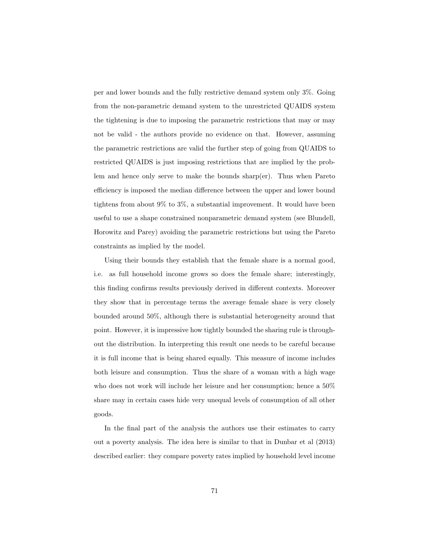per and lower bounds and the fully restrictive demand system only 3%. Going from the non-parametric demand system to the unrestricted QUAIDS system the tightening is due to imposing the parametric restrictions that may or may not be valid - the authors provide no evidence on that. However, assuming the parametric restrictions are valid the further step of going from QUAIDS to restricted QUAIDS is just imposing restrictions that are implied by the problem and hence only serve to make the bounds sharp(er). Thus when Pareto efficiency is imposed the median difference between the upper and lower bound tightens from about 9% to 3%, a substantial improvement. It would have been useful to use a shape constrained nonparametric demand system (see Blundell, Horowitz and Parey) avoiding the parametric restrictions but using the Pareto constraints as implied by the model.

Using their bounds they establish that the female share is a normal good, i.e. as full household income grows so does the female share; interestingly, this finding confirms results previously derived in different contexts. Moreover they show that in percentage terms the average female share is very closely bounded around 50%, although there is substantial heterogeneity around that point. However, it is impressive how tightly bounded the sharing rule is throughout the distribution. In interpreting this result one needs to be careful because it is full income that is being shared equally. This measure of income includes both leisure and consumption. Thus the share of a woman with a high wage who does not work will include her leisure and her consumption; hence a 50% share may in certain cases hide very unequal levels of consumption of all other goods.

In the final part of the analysis the authors use their estimates to carry out a poverty analysis. The idea here is similar to that in Dunbar et al (2013) described earlier: they compare poverty rates implied by household level income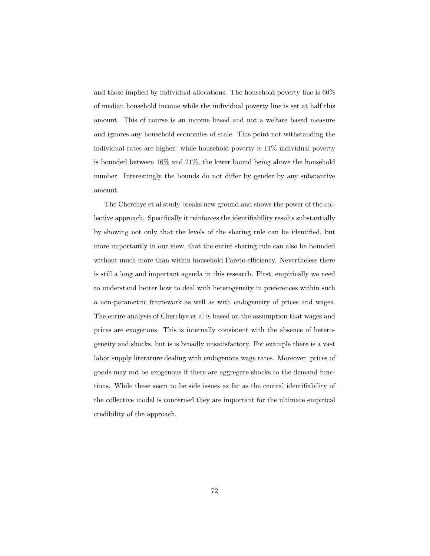and those implied by individual allocations. The household poverty line is 60% of median household income while the individual poverty line is set at half this amount. This of course is an income based and not a welfare based measure and ignores any household economies of scale. This point not withstanding the individual rates are higher: while household poverty is 11% individual poverty is bounded between 16% and 21%, the lower bound being above the household number. Interestingly the bounds do not differ by gender by any substantive amount.

The Cherchye et al study breaks new ground and shows the power of the collective approach. Specifically it reinforces the identifiability results substantially by showing not only that the levels of the sharing rule can be identified, but more importantly in our view, that the entire sharing rule can also be bounded without much more than within household Pareto efficiency. Nevertheless there is still a long and important agenda in this research. First, empirically we need to understand better how to deal with heterogeneity in preferences within such a non-parametric framework as well as with endogeneity of prices and wages. The entire analysis of Cherchye et al is based on the assumption that wages and prices are exogenous. This is internally consistent with the absence of heterogeneity and shocks, but is is broadly unsatisfactory. For example there is a vast labor supply literature dealing with endogenous wage rates. Moreover, prices of goods may not be exogenous if there are aggregate shocks to the demand functions. While these seem to be side issues as far as the central identifiability of the collective model is concerned they are important for the ultimate empirical credibility of the approach.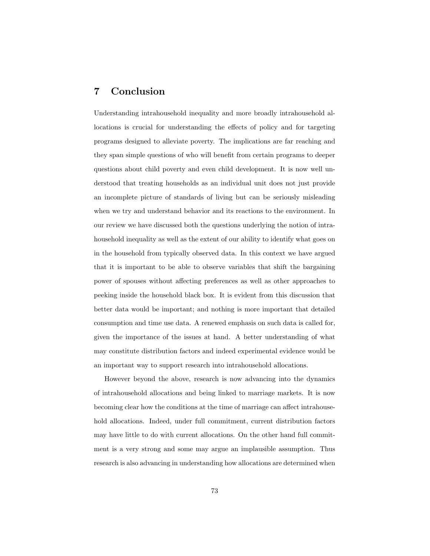## 7 Conclusion

Understanding intrahousehold inequality and more broadly intrahousehold allocations is crucial for understanding the effects of policy and for targeting programs designed to alleviate poverty. The implications are far reaching and they span simple questions of who will benefit from certain programs to deeper questions about child poverty and even child development. It is now well understood that treating households as an individual unit does not just provide an incomplete picture of standards of living but can be seriously misleading when we try and understand behavior and its reactions to the environment. In our review we have discussed both the questions underlying the notion of intrahousehold inequality as well as the extent of our ability to identify what goes on in the household from typically observed data. In this context we have argued that it is important to be able to observe variables that shift the bargaining power of spouses without affecting preferences as well as other approaches to peeking inside the household black box. It is evident from this discussion that better data would be important; and nothing is more important that detailed consumption and time use data. A renewed emphasis on such data is called for, given the importance of the issues at hand. A better understanding of what may constitute distribution factors and indeed experimental evidence would be an important way to support research into intrahousehold allocations.

However beyond the above, research is now advancing into the dynamics of intrahousehold allocations and being linked to marriage markets. It is now becoming clear how the conditions at the time of marriage can affect intrahousehold allocations. Indeed, under full commitment, current distribution factors may have little to do with current allocations. On the other hand full commitment is a very strong and some may argue an implausible assumption. Thus research is also advancing in understanding how allocations are determined when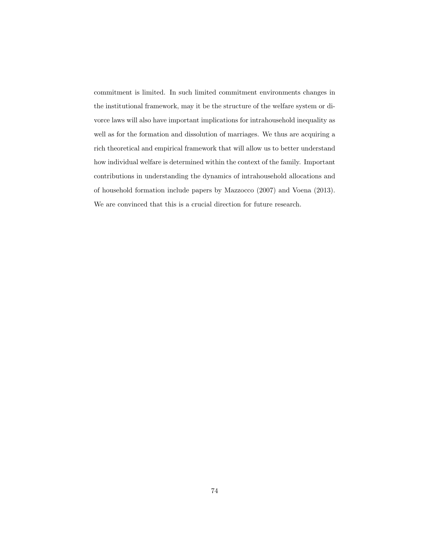commitment is limited. In such limited commitment environments changes in the institutional framework, may it be the structure of the welfare system or divorce laws will also have important implications for intrahousehold inequality as well as for the formation and dissolution of marriages. We thus are acquiring a rich theoretical and empirical framework that will allow us to better understand how individual welfare is determined within the context of the family. Important contributions in understanding the dynamics of intrahousehold allocations and of household formation include papers by Mazzocco (2007) and Voena (2013). We are convinced that this is a crucial direction for future research.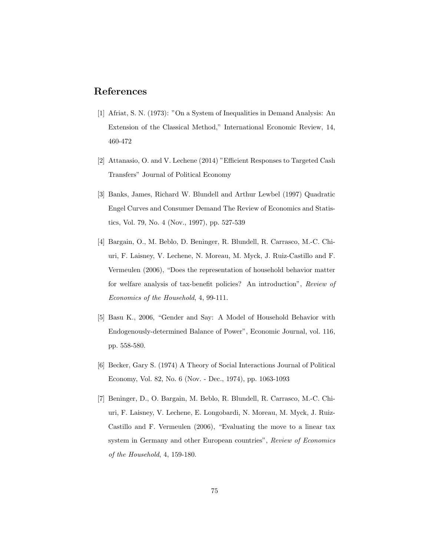## References

- [1] Afriat, S. N. (1973): "On a System of Inequalities in Demand Analysis: An Extension of the Classical Method," International Economic Review, 14, 460-472
- [2] Attanasio, O. and V. Lechene (2014) "Efficient Responses to Targeted Cash Transfers" Journal of Political Economy
- [3] Banks, James, Richard W. Blundell and Arthur Lewbel (1997) Quadratic Engel Curves and Consumer Demand The Review of Economics and Statistics, Vol. 79, No. 4 (Nov., 1997), pp. 527-539
- [4] Bargain, O., M. Beblo, D. Beninger, R. Blundell, R. Carrasco, M.-C. Chiuri, F. Laisney, V. Lechene, N. Moreau, M. Myck, J. Ruiz-Castillo and F. Vermeulen (2006), "Does the representation of household behavior matter for welfare analysis of tax-benefit policies? An introduction", Review of Economics of the Household, 4, 99-111.
- [5] Basu K., 2006, "Gender and Say: A Model of Household Behavior with Endogenously-determined Balance of Power", Economic Journal, vol. 116, pp. 558-580.
- [6] Becker, Gary S. (1974) A Theory of Social Interactions Journal of Political Economy, Vol. 82, No. 6 (Nov. - Dec., 1974), pp. 1063-1093
- [7] Beninger, D., O. Bargain, M. Beblo, R. Blundell, R. Carrasco, M.-C. Chiuri, F. Laisney, V. Lechene, E. Longobardi, N. Moreau, M. Myck, J. Ruiz-Castillo and F. Vermeulen (2006), "Evaluating the move to a linear tax system in Germany and other European countries", Review of Economics of the Household, 4, 159-180.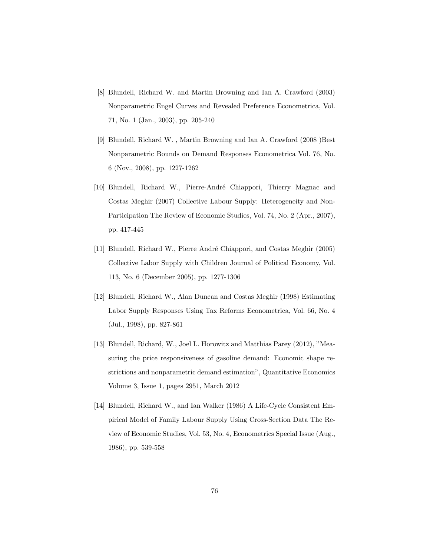- [8] Blundell, Richard W. and Martin Browning and Ian A. Crawford (2003) Nonparametric Engel Curves and Revealed Preference Econometrica, Vol. 71, No. 1 (Jan., 2003), pp. 205-240
- [9] Blundell, Richard W. , Martin Browning and Ian A. Crawford (2008 )Best Nonparametric Bounds on Demand Responses Econometrica Vol. 76, No. 6 (Nov., 2008), pp. 1227-1262
- [10] Blundell, Richard W., Pierre-André Chiappori, Thierry Magnac and Costas Meghir (2007) Collective Labour Supply: Heterogeneity and Non-Participation The Review of Economic Studies, Vol. 74, No. 2 (Apr., 2007), pp. 417-445
- [11] Blundell, Richard W., Pierre André Chiappori, and Costas Meghir (2005) Collective Labor Supply with Children Journal of Political Economy, Vol. 113, No. 6 (December 2005), pp. 1277-1306
- [12] Blundell, Richard W., Alan Duncan and Costas Meghir (1998) Estimating Labor Supply Responses Using Tax Reforms Econometrica, Vol. 66, No. 4 (Jul., 1998), pp. 827-861
- [13] Blundell, Richard, W., Joel L. Horowitz and Matthias Parey (2012), "Measuring the price responsiveness of gasoline demand: Economic shape restrictions and nonparametric demand estimation", Quantitative Economics Volume 3, Issue 1, pages 2951, March 2012
- [14] Blundell, Richard W., and Ian Walker (1986) A Life-Cycle Consistent Empirical Model of Family Labour Supply Using Cross-Section Data The Review of Economic Studies, Vol. 53, No. 4, Econometrics Special Issue (Aug., 1986), pp. 539-558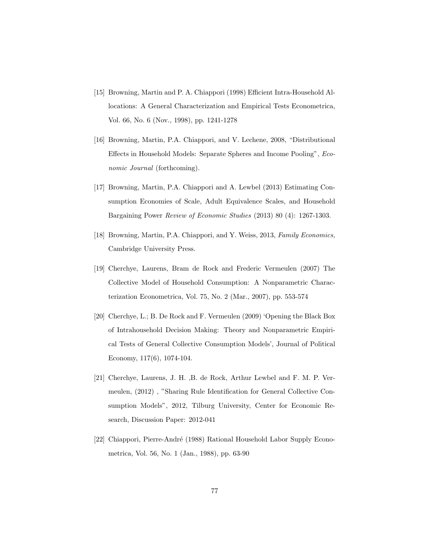- [15] Browning, Martin and P. A. Chiappori (1998) Efficient Intra-Household Allocations: A General Characterization and Empirical Tests Econometrica, Vol. 66, No. 6 (Nov., 1998), pp. 1241-1278
- [16] Browning, Martin, P.A. Chiappori, and V. Lechene, 2008, "Distributional Effects in Household Models: Separate Spheres and Income Pooling", Economic Journal (forthcoming).
- [17] Browning, Martin, P.A. Chiappori and A. Lewbel (2013) Estimating Consumption Economies of Scale, Adult Equivalence Scales, and Household Bargaining Power Review of Economic Studies (2013) 80 (4): 1267-1303.
- [18] Browning, Martin, P.A. Chiappori, and Y. Weiss, 2013, Family Economics, Cambridge University Press.
- [19] Cherchye, Laurens, Bram de Rock and Frederic Vermeulen (2007) The Collective Model of Household Consumption: A Nonparametric Characterization Econometrica, Vol. 75, No. 2 (Mar., 2007), pp. 553-574
- [20] Cherchye, L.; B. De Rock and F. Vermeulen (2009) 'Opening the Black Box of Intrahousehold Decision Making: Theory and Nonparametric Empirical Tests of General Collective Consumption Models', Journal of Political Economy, 117(6), 1074-104.
- [21] Cherchye, Laurens, J. H. ,B. de Rock, Arthur Lewbel and F. M. P. Vermeulen, (2012) , "Sharing Rule Identification for General Collective Consumption Models", 2012, Tilburg University, Center for Economic Research, Discussion Paper: 2012-041
- [22] Chiappori, Pierre-André (1988) Rational Household Labor Supply Econometrica, Vol. 56, No. 1 (Jan., 1988), pp. 63-90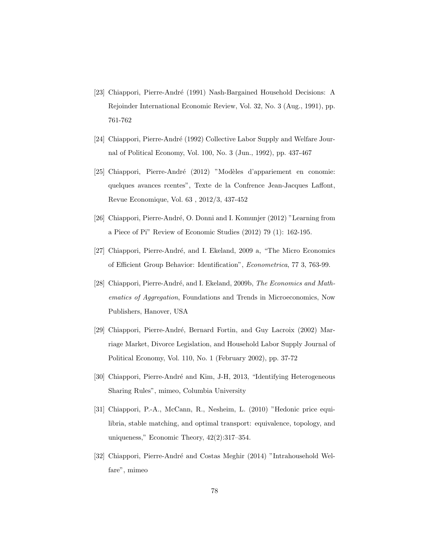- [23] Chiappori, Pierre-André (1991) Nash-Bargained Household Decisions: A Rejoinder International Economic Review, Vol. 32, No. 3 (Aug., 1991), pp. 761-762
- [24] Chiappori, Pierre-André (1992) Collective Labor Supply and Welfare Journal of Political Economy, Vol. 100, No. 3 (Jun., 1992), pp. 437-467
- [25] Chiappori, Pierre-André (2012) "Modèles d'appariement en conomie: quelques avances rcentes", Texte de la Confrence Jean-Jacques Laffont, Revue Economique, Vol. 63 , 2012/3, 437-452
- [26] Chiappori, Pierre-André, O. Donni and I. Komunjer (2012) "Learning from a Piece of Pi" Review of Economic Studies (2012) 79 (1): 162-195.
- [27] Chiappori, Pierre-André, and I. Ekeland, 2009 a, "The Micro Economics of Efficient Group Behavior: Identification", Econometrica, 77 3, 763-99.
- [28] Chiappori, Pierre-André, and I. Ekeland, 2009b, The Economics and Mathematics of Aggregation, Foundations and Trends in Microeconomics, Now Publishers, Hanover, USA
- [29] Chiappori, Pierre-André, Bernard Fortin, and Guy Lacroix (2002) Marriage Market, Divorce Legislation, and Household Labor Supply Journal of Political Economy, Vol. 110, No. 1 (February 2002), pp. 37-72
- [30] Chiappori, Pierre-André and Kim, J-H, 2013, "Identifying Heterogeneous Sharing Rules", mimeo, Columbia University
- [31] Chiappori, P.-A., McCann, R., Nesheim, L. (2010) "Hedonic price equilibria, stable matching, and optimal transport: equivalence, topology, and uniqueness," Economic Theory, 42(2):317–354.
- [32] Chiappori, Pierre-André and Costas Meghir (2014) "Intrahousehold Welfare", mimeo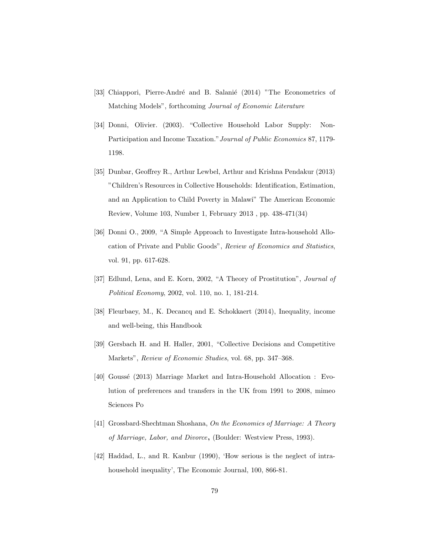- [33] Chiappori, Pierre-André and B. Salanié (2014) "The Econometrics of Matching Models", forthcoming Journal of Economic Literature
- [34] Donni, Olivier. (2003). "Collective Household Labor Supply: Non-Participation and Income Taxation."Journal of Public Economics 87, 1179- 1198.
- [35] Dunbar, Geoffrey R., Arthur Lewbel, Arthur and Krishna Pendakur (2013) "Children's Resources in Collective Households: Identification, Estimation, and an Application to Child Poverty in Malawi" The American Economic Review, Volume 103, Number 1, February 2013 , pp. 438-471(34)
- [36] Donni O., 2009, "A Simple Approach to Investigate Intra-household Allocation of Private and Public Goods", Review of Economics and Statistics, vol. 91, pp. 617-628.
- [37] Edlund, Lena, and E. Korn, 2002, "A Theory of Prostitution", Journal of Political Economy, 2002, vol. 110, no. 1, 181-214.
- [38] Fleurbaey, M., K. Decancq and E. Schokkaert (2014), Inequality, income and well-being, this Handbook
- [39] Gersbach H. and H. Haller, 2001, "Collective Decisions and Competitive Markets", Review of Economic Studies, vol. 68, pp. 347–368.
- [40] Goussé (2013) Marriage Market and Intra-Household Allocation : Evolution of preferences and transfers in the UK from 1991 to 2008, mimeo Sciences Po
- [41] Grossbard-Shechtman Shoshana, On the Economics of Marriage: A Theory of Marriage, Labor, and Divorce, (Boulder: Westview Press, 1993).
- [42] Haddad, L., and R. Kanbur (1990), 'How serious is the neglect of intrahousehold inequality', The Economic Journal, 100, 866-81.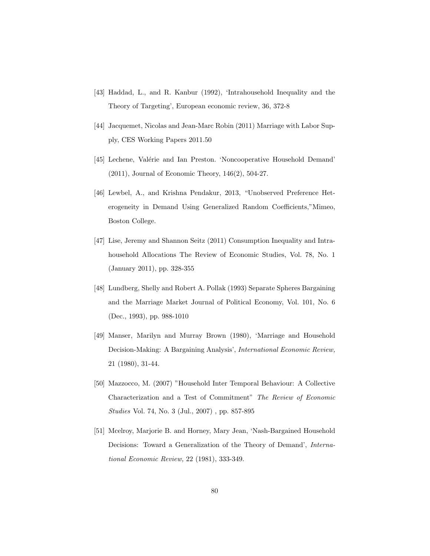- [43] Haddad, L., and R. Kanbur (1992), 'Intrahousehold Inequality and the Theory of Targeting', European economic review, 36, 372-8
- [44] Jacquemet, Nicolas and Jean-Marc Robin (2011) Marriage with Labor Supply, CES Working Papers 2011.50
- [45] Lechene, Valérie and Ian Preston. 'Noncooperative Household Demand' (2011), Journal of Economic Theory, 146(2), 504-27.
- [46] Lewbel, A., and Krishna Pendakur, 2013, "Unobserved Preference Heterogeneity in Demand Using Generalized Random Coefficients,"Mimeo, Boston College.
- [47] Lise, Jeremy and Shannon Seitz (2011) Consumption Inequality and Intrahousehold Allocations The Review of Economic Studies, Vol. 78, No. 1 (January 2011), pp. 328-355
- [48] Lundberg, Shelly and Robert A. Pollak (1993) Separate Spheres Bargaining and the Marriage Market Journal of Political Economy, Vol. 101, No. 6 (Dec., 1993), pp. 988-1010
- [49] Manser, Marilyn and Murray Brown (1980), 'Marriage and Household Decision-Making: A Bargaining Analysis', International Economic Review, 21 (1980), 31-44.
- [50] Mazzocco, M. (2007) "Household Inter Temporal Behaviour: A Collective Characterization and a Test of Commitment" The Review of Economic Studies Vol. 74, No. 3 (Jul., 2007) , pp. 857-895
- [51] Mcelroy, Marjorie B. and Horney, Mary Jean, 'Nash-Bargained Household Decisions: Toward a Generalization of the Theory of Demand', International Economic Review, 22 (1981), 333-349.